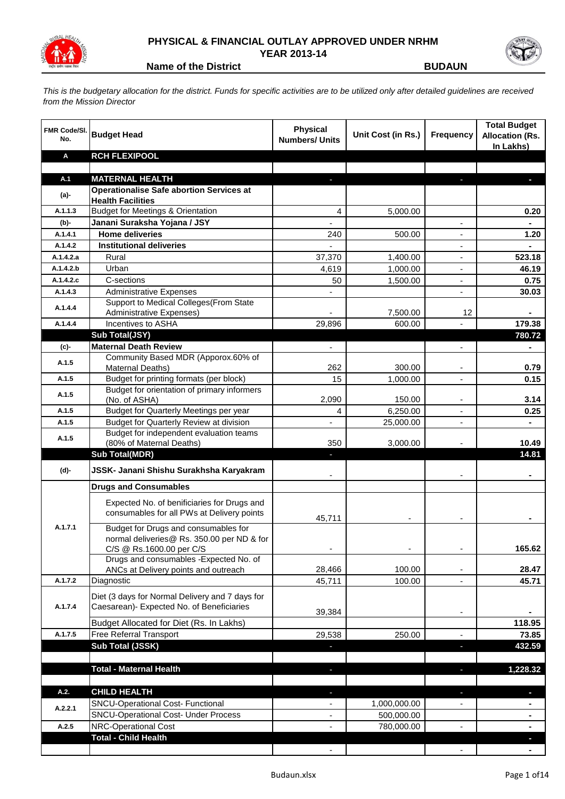

## **PHYSICAL & FINANCIAL OUTLAY APPROVED UNDER NRHM YEAR 2013-14**



**Name of the District BUDAUN** 

*This is the budgetary allocation for the district. Funds for specific activities are to be utilized only after detailed guidelines are received from the Mission Director*

| <b>FMR Code/SI.</b><br>No. | <b>Budget Head</b>                                                                        | <b>Physical</b><br><b>Numbers/ Units</b> | Unit Cost (in Rs.) | <b>Frequency</b>         | <b>Total Budget</b><br><b>Allocation (Rs.</b><br>In Lakhs) |
|----------------------------|-------------------------------------------------------------------------------------------|------------------------------------------|--------------------|--------------------------|------------------------------------------------------------|
| Α                          | <b>RCH FLEXIPOOL</b>                                                                      |                                          |                    |                          |                                                            |
|                            |                                                                                           |                                          |                    |                          |                                                            |
| A.1                        | <b>MATERNAL HEALTH</b>                                                                    |                                          |                    |                          |                                                            |
| (a)-                       | <b>Operationalise Safe abortion Services at</b><br><b>Health Facilities</b>               |                                          |                    |                          |                                                            |
| A.1.1.3                    | <b>Budget for Meetings &amp; Orientation</b>                                              | 4                                        | 5,000.00           |                          | 0.20                                                       |
| $(b)$ -                    | Janani Suraksha Yojana / JSY                                                              |                                          |                    |                          |                                                            |
| A.1.4.1                    | <b>Home deliveries</b>                                                                    | 240                                      | 500.00             |                          | 1.20                                                       |
| A.1.4.2                    | <b>Institutional deliveries</b>                                                           |                                          |                    |                          |                                                            |
| A.1.4.2.a                  | Rural                                                                                     | 37,370                                   | 1,400.00           |                          | 523.18                                                     |
| A.1.4.2.b                  | Urban                                                                                     | 4,619                                    | 1,000.00           | $\overline{\phantom{a}}$ | 46.19                                                      |
| A.1.4.2.c                  | C-sections                                                                                | 50                                       | 1,500.00           | $\overline{\phantom{a}}$ | 0.75                                                       |
| A.1.4.3                    | <b>Administrative Expenses</b>                                                            |                                          |                    |                          | 30.03                                                      |
| A.1.4.4                    | Support to Medical Colleges (From State                                                   |                                          |                    |                          |                                                            |
|                            | <b>Administrative Expenses)</b>                                                           |                                          | 7,500.00           | 12                       | Ξ.                                                         |
| A.1.4.4                    | Incentives to ASHA                                                                        | 29,896                                   | 600.00             |                          | 179.38                                                     |
|                            | Sub Total(JSY)<br><b>Maternal Death Review</b>                                            | $\overline{\phantom{0}}$                 |                    |                          | 780.72                                                     |
| (c)-                       | Community Based MDR (Apporox.60% of                                                       |                                          |                    |                          |                                                            |
| A.1.5                      | Maternal Deaths)                                                                          | 262                                      | 300.00             |                          | 0.79                                                       |
| A.1.5                      | Budget for printing formats (per block)                                                   | 15                                       | 1,000.00           |                          | 0.15                                                       |
| A.1.5                      | Budget for orientation of primary informers                                               |                                          |                    |                          |                                                            |
|                            | (No. of ASHA)                                                                             | 2,090                                    | 150.00             |                          | 3.14                                                       |
| A.1.5                      | Budget for Quarterly Meetings per year                                                    | 4                                        | 6,250.00           |                          | 0.25                                                       |
| A.1.5                      | Budget for Quarterly Review at division<br>Budget for independent evaluation teams        |                                          | 25,000.00          | $\overline{\phantom{a}}$ | ۰                                                          |
| A.1.5                      | (80% of Maternal Deaths)                                                                  | 350                                      | 3,000.00           |                          | 10.49                                                      |
|                            | <b>Sub Total(MDR)</b>                                                                     | ٠                                        |                    |                          | 14.81                                                      |
| (d)-                       | JSSK- Janani Shishu Surakhsha Karyakram                                                   |                                          |                    |                          |                                                            |
|                            | <b>Drugs and Consumables</b>                                                              |                                          |                    |                          |                                                            |
|                            | Expected No. of benificiaries for Drugs and<br>consumables for all PWs at Delivery points | 45,711                                   |                    |                          |                                                            |
| A.1.7.1                    | Budget for Drugs and consumables for                                                      |                                          |                    |                          |                                                            |
|                            | normal deliveries@ Rs. 350.00 per ND & for                                                |                                          |                    |                          |                                                            |
|                            | C/S @ Rs.1600.00 per C/S<br>Drugs and consumables - Expected No. of                       |                                          |                    |                          | 165.62                                                     |
|                            | ANCs at Delivery points and outreach                                                      | 28,466                                   | 100.00             |                          | 28.47                                                      |
| A.1.7.2                    | Diagnostic                                                                                | 45,711                                   | 100.00             |                          | 45.71                                                      |
|                            | Diet (3 days for Normal Delivery and 7 days for                                           |                                          |                    |                          |                                                            |
| A.1.7.4                    | Caesarean)- Expected No. of Beneficiaries                                                 |                                          |                    |                          |                                                            |
|                            |                                                                                           | 39,384                                   |                    |                          |                                                            |
|                            | Budget Allocated for Diet (Rs. In Lakhs)                                                  |                                          |                    |                          | 118.95                                                     |
| A.1.7.5                    | Free Referral Transport<br>Sub Total (JSSK)                                               | 29,538                                   | 250.00             |                          | 73.85                                                      |
|                            |                                                                                           |                                          |                    | F                        | 432.59                                                     |
|                            | <b>Total - Maternal Health</b>                                                            | ٠                                        |                    | $\overline{\phantom{a}}$ | 1,228.32                                                   |
|                            |                                                                                           |                                          |                    |                          |                                                            |
| A.2.                       | <b>CHILD HEALTH</b>                                                                       | ٠                                        |                    | ٠                        | D                                                          |
|                            | <b>SNCU-Operational Cost- Functional</b>                                                  | ٠                                        | 1,000,000.00       |                          |                                                            |
| A.2.2.1                    | <b>SNCU-Operational Cost- Under Process</b>                                               | $\overline{\phantom{a}}$                 | 500,000.00         |                          | $\blacksquare$                                             |
| A.2.5                      | NRC-Operational Cost                                                                      | $\overline{\phantom{a}}$                 | 780,000.00         | $\blacksquare$           | $\blacksquare$                                             |
|                            | <b>Total - Child Health</b>                                                               |                                          |                    |                          | ٠                                                          |
|                            |                                                                                           |                                          |                    |                          |                                                            |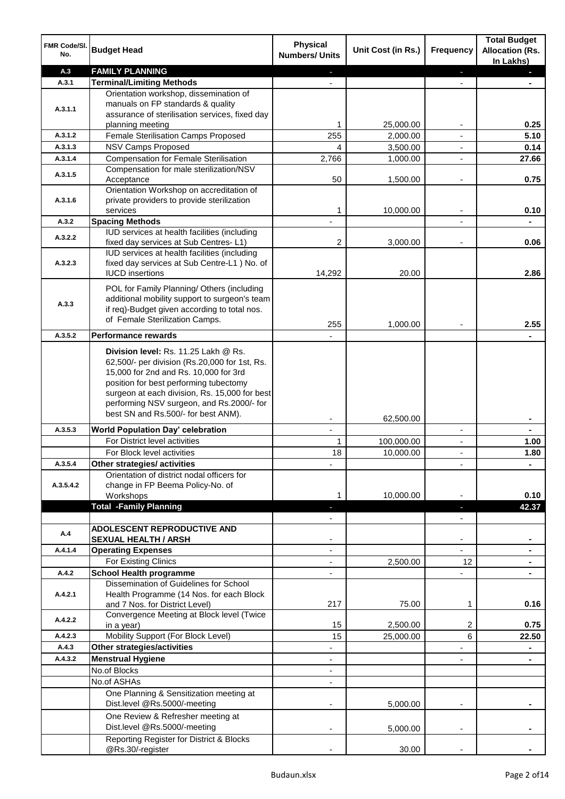| FMR Code/SI.<br>No. | <b>Budget Head</b>                                                                         | <b>Physical</b><br><b>Numbers/ Units</b> | Unit Cost (in Rs.)      | Frequency                                  | <b>Total Budget</b><br><b>Allocation (Rs.</b><br>In Lakhs) |
|---------------------|--------------------------------------------------------------------------------------------|------------------------------------------|-------------------------|--------------------------------------------|------------------------------------------------------------|
| A.3                 | <b>FAMILY PLANNING</b>                                                                     |                                          |                         | ٠                                          |                                                            |
| A.3.1               | <b>Terminal/Limiting Methods</b>                                                           |                                          |                         |                                            |                                                            |
|                     | Orientation workshop, dissemination of                                                     |                                          |                         |                                            |                                                            |
| A.3.1.1             | manuals on FP standards & quality<br>assurance of sterilisation services, fixed day        |                                          |                         |                                            |                                                            |
|                     | planning meeting                                                                           | 1                                        | 25,000.00               |                                            | 0.25                                                       |
| A.3.1.2             | Female Sterilisation Camps Proposed                                                        | 255                                      | 2,000.00                |                                            | 5.10                                                       |
| A.3.1.3             | <b>NSV Camps Proposed</b>                                                                  | 4                                        | 3,500.00                | $\blacksquare$                             | 0.14                                                       |
| A.3.1.4             | <b>Compensation for Female Sterilisation</b>                                               | 2,766                                    | 1,000.00                | $\blacksquare$                             | 27.66                                                      |
| A.3.1.5             | Compensation for male sterilization/NSV                                                    |                                          |                         |                                            |                                                            |
|                     | Acceptance                                                                                 | 50                                       | 1,500.00                | $\overline{a}$                             | 0.75                                                       |
|                     | Orientation Workshop on accreditation of                                                   |                                          |                         |                                            |                                                            |
| A.3.1.6             | private providers to provide sterilization<br>services                                     | 1                                        | 10,000.00               | $\blacksquare$                             | 0.10                                                       |
| A.3.2               | <b>Spacing Methods</b>                                                                     |                                          |                         |                                            |                                                            |
|                     | IUD services at health facilities (including                                               |                                          |                         |                                            |                                                            |
| A.3.2.2             | fixed day services at Sub Centres-L1)                                                      | 2                                        | 3,000.00                |                                            | 0.06                                                       |
|                     | IUD services at health facilities (including                                               |                                          |                         |                                            |                                                            |
| A.3.2.3             | fixed day services at Sub Centre-L1 ) No. of                                               |                                          |                         |                                            |                                                            |
|                     | <b>IUCD</b> insertions                                                                     | 14,292                                   | 20.00                   |                                            | 2.86                                                       |
|                     | POL for Family Planning/ Others (including                                                 |                                          |                         |                                            |                                                            |
| A.3.3               | additional mobility support to surgeon's team                                              |                                          |                         |                                            |                                                            |
|                     | if req)-Budget given according to total nos.<br>of Female Sterilization Camps.             |                                          |                         |                                            |                                                            |
|                     |                                                                                            | 255                                      | 1,000.00                |                                            | 2.55                                                       |
| A.3.5.2             | <b>Performance rewards</b>                                                                 |                                          |                         |                                            |                                                            |
|                     | Division level: Rs. 11.25 Lakh @ Rs.                                                       |                                          |                         |                                            |                                                            |
|                     | 62,500/- per division (Rs.20,000 for 1st, Rs.                                              |                                          |                         |                                            |                                                            |
|                     | 15,000 for 2nd and Rs. 10,000 for 3rd                                                      |                                          |                         |                                            |                                                            |
|                     | position for best performing tubectomy                                                     |                                          |                         |                                            |                                                            |
|                     | surgeon at each division, Rs. 15,000 for best<br>performing NSV surgeon, and Rs.2000/- for |                                          |                         |                                            |                                                            |
|                     | best SN and Rs.500/- for best ANM).                                                        |                                          |                         |                                            |                                                            |
|                     |                                                                                            |                                          | 62,500.00               |                                            |                                                            |
| A.3.5.3             | <b>World Population Day' celebration</b><br>For District level activities                  | $\mathbf{r}$<br>1                        |                         | $\blacksquare$                             | $\blacksquare$                                             |
|                     | For Block level activities                                                                 | 18                                       | 100,000.00<br>10,000.00 | $\overline{\phantom{a}}$<br>$\blacksquare$ | 1.00<br>1.80                                               |
| A.3.5.4             | Other strategies/ activities                                                               |                                          |                         |                                            |                                                            |
|                     | Orientation of district nodal officers for                                                 |                                          |                         |                                            |                                                            |
| A.3.5.4.2           | change in FP Beema Policy-No. of                                                           |                                          |                         |                                            |                                                            |
|                     | Workshops                                                                                  |                                          | 10,000.00               |                                            | 0.10                                                       |
|                     | <b>Total -Family Planning</b>                                                              |                                          |                         |                                            | 42.37                                                      |
|                     |                                                                                            |                                          |                         |                                            |                                                            |
| A.4                 | <b>ADOLESCENT REPRODUCTIVE AND</b>                                                         |                                          |                         |                                            |                                                            |
| A.4.1.4             | <b>SEXUAL HEALTH / ARSH</b><br><b>Operating Expenses</b>                                   |                                          |                         |                                            |                                                            |
|                     | For Existing Clinics                                                                       |                                          | 2,500.00                | 12                                         |                                                            |
| A.4.2               | <b>School Health programme</b>                                                             |                                          |                         |                                            |                                                            |
|                     | Dissemination of Guidelines for School                                                     |                                          |                         |                                            |                                                            |
| A.4.2.1             | Health Programme (14 Nos. for each Block                                                   |                                          |                         |                                            |                                                            |
|                     | and 7 Nos. for District Level)                                                             | 217                                      | 75.00                   | 1                                          | 0.16                                                       |
| A.4.2.2             | Convergence Meeting at Block level (Twice                                                  |                                          |                         |                                            |                                                            |
|                     | in a year)                                                                                 | 15                                       | 2,500.00                | 2                                          | 0.75                                                       |
| A.4.2.3             | Mobility Support (For Block Level)                                                         | 15                                       | 25,000.00               | 6                                          | 22.50                                                      |
| A.4.3               | Other strategies/activities                                                                |                                          |                         |                                            |                                                            |
| A.4.3.2             | <b>Menstrual Hygiene</b><br>No.of Blocks                                                   |                                          |                         |                                            |                                                            |
|                     | No.of ASHAs                                                                                |                                          |                         |                                            |                                                            |
|                     | One Planning & Sensitization meeting at                                                    |                                          |                         |                                            |                                                            |
|                     | Dist.level @Rs.5000/-meeting                                                               |                                          | 5,000.00                |                                            |                                                            |
|                     | One Review & Refresher meeting at                                                          |                                          |                         |                                            |                                                            |
|                     | Dist.level @Rs.5000/-meeting                                                               |                                          | 5,000.00                |                                            |                                                            |
|                     | Reporting Register for District & Blocks                                                   |                                          |                         |                                            |                                                            |
|                     | @Rs.30/-register                                                                           |                                          | 30.00                   |                                            |                                                            |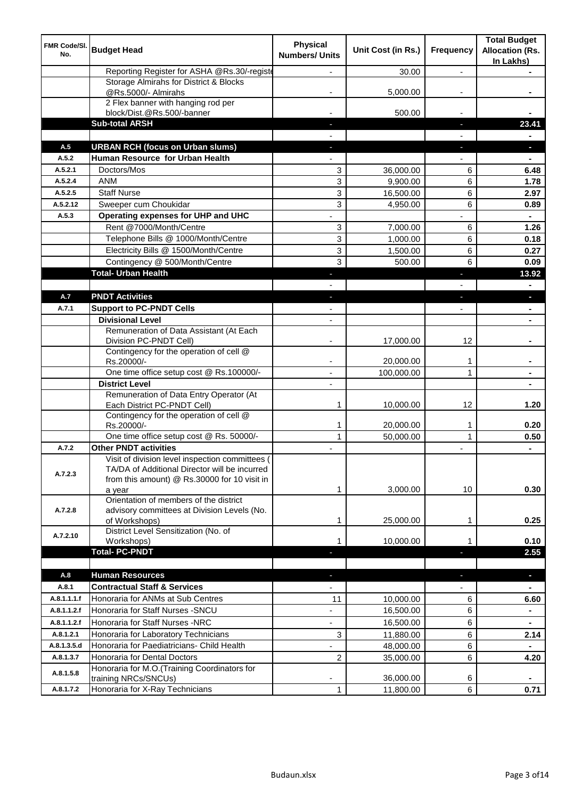| Reporting Register for ASHA @Rs.30/-registe<br>30.00<br>$\overline{a}$<br>Storage Almirahs for District & Blocks<br>@Rs.5000/- Almirahs<br>5,000.00<br>2 Flex banner with hanging rod per<br>500.00<br>block/Dist.@Rs.500/-banner<br><b>Sub-total ARSH</b><br>23.41<br>ı.<br><b>URBAN RCH (focus on Urban slums)</b><br>A.5<br>J,<br>Human Resource for Urban Health<br>A.5.2<br>Doctors/Mos<br>A.5.2.1<br>3<br>36,000.00<br>6<br>6.48<br><b>ANM</b><br>3<br>A.5.2.4<br>6<br>9,900.00<br>1.78<br><b>Staff Nurse</b><br>3<br>6<br>A.5.2.5<br>16,500.00<br>2.97<br>3<br>A.5.2.12<br>Sweeper cum Choukidar<br>6<br>4,950.00<br>0.89<br>A.5.3<br>Operating expenses for UHP and UHC<br>Rent @7000/Month/Centre<br>3<br>7,000.00<br>6<br>1.26<br>3<br>Telephone Bills @ 1000/Month/Centre<br>1,000.00<br>6<br>0.18<br>Electricity Bills @ 1500/Month/Centre<br>3<br>6<br>1,500.00<br>0.27<br>Contingency @ 500/Month/Centre<br>3<br>6<br>500.00<br>0.09<br><b>Total- Urban Health</b><br>13.92<br>п<br><b>PNDT Activities</b><br>A.7<br><b>Support to PC-PNDT Cells</b><br>A.7.1<br><b>Divisional Level</b><br>$\overline{\phantom{a}}$<br>Remuneration of Data Assistant (At Each<br>12<br>Division PC-PNDT Cell)<br>17,000.00<br>Contingency for the operation of cell @<br>Rs.20000/-<br>20,000.00<br>1<br>One time office setup cost @ Rs.100000/-<br>100,000.00<br>1<br>$\blacksquare$<br><b>District Level</b><br>Remuneration of Data Entry Operator (At<br>Each District PC-PNDT Cell)<br>1<br>12<br>1.20<br>10,000.00<br>Contingency for the operation of cell @<br>Rs.20000/-<br>1<br>20,000.00<br>0.20<br>1<br>One time office setup cost @ Rs. 50000/-<br>$\mathbf{1}$<br>$\mathbf{1}$<br>50,000.00<br>0.50<br><b>Other PNDT activities</b><br>A.7.2<br>$\blacksquare$<br>Visit of division level inspection committees (<br>TA/DA of Additional Director will be incurred<br>A.7.2.3<br>from this amount) @ Rs.30000 for 10 visit in<br>3,000.00<br>10<br>0.30<br>1<br>a year<br>Orientation of members of the district<br>advisory committees at Division Levels (No.<br>A.7.2.8<br>of Workshops)<br>25,000.00<br>0.25<br>1<br>1<br>District Level Sensitization (No. of<br>A.7.2.10<br>10,000.00<br>0.10<br>Workshops)<br>1<br><b>Total-PC-PNDT</b><br>2.55<br><b>Human Resources</b><br>A.8<br>$\blacksquare$<br>٠<br><b>Contractual Staff &amp; Services</b><br>A.8.1<br>Honoraria for ANMs at Sub Centres<br>A.8.1.1.1.f<br>11<br>10,000.00<br>6<br>6.60<br>Honoraria for Staff Nurses - SNCU<br>16,500.00<br>6<br>A.8.1.1.2.f<br>$\blacksquare$<br>A.8.1.1.2.f<br>Honoraria for Staff Nurses -NRC<br>16,500.00<br>6<br>$\overline{\phantom{a}}$<br>$\blacksquare$<br>Honoraria for Laboratory Technicians<br>3<br>A.8.1.2.1<br>6<br>11,880.00<br>2.14<br>A.8.1.3.5.d<br>Honoraria for Paediatricians- Child Health<br>48,000.00<br>6<br>$\blacksquare$<br>Honoraria for Dental Doctors<br>A.8.1.3.7<br>2<br>35,000.00<br>6<br>4.20<br>Honoraria for M.O.(Training Coordinators for<br>A.8.1.5.8<br>36,000.00<br>training NRCs/SNCUs)<br>6<br>A.8.1.7.2<br>Honoraria for X-Ray Technicians<br>$\mathbf{1}$<br>6<br>11,800.00<br>0.71 | FMR Code/SI.<br>No. | <b>Budget Head</b> | <b>Physical</b><br><b>Numbers/ Units</b> | Unit Cost (in Rs.) | Frequency | <b>Total Budget</b><br><b>Allocation (Rs.</b><br>In Lakhs) |
|---------------------------------------------------------------------------------------------------------------------------------------------------------------------------------------------------------------------------------------------------------------------------------------------------------------------------------------------------------------------------------------------------------------------------------------------------------------------------------------------------------------------------------------------------------------------------------------------------------------------------------------------------------------------------------------------------------------------------------------------------------------------------------------------------------------------------------------------------------------------------------------------------------------------------------------------------------------------------------------------------------------------------------------------------------------------------------------------------------------------------------------------------------------------------------------------------------------------------------------------------------------------------------------------------------------------------------------------------------------------------------------------------------------------------------------------------------------------------------------------------------------------------------------------------------------------------------------------------------------------------------------------------------------------------------------------------------------------------------------------------------------------------------------------------------------------------------------------------------------------------------------------------------------------------------------------------------------------------------------------------------------------------------------------------------------------------------------------------------------------------------------------------------------------------------------------------------------------------------------------------------------------------------------------------------------------------------------------------------------------------------------------------------------------------------------------------------------------------------------------------------------------------------------------------------------------------------------------------------------------------------------------------------------------------------------------------------------------------------------------------------------------------------------------------------------------------------------------------------------------------------------------------------------------------------------------------------------------------------------------------------------------------------------------------------------------------------------------------------------------------------------------------|---------------------|--------------------|------------------------------------------|--------------------|-----------|------------------------------------------------------------|
|                                                                                                                                                                                                                                                                                                                                                                                                                                                                                                                                                                                                                                                                                                                                                                                                                                                                                                                                                                                                                                                                                                                                                                                                                                                                                                                                                                                                                                                                                                                                                                                                                                                                                                                                                                                                                                                                                                                                                                                                                                                                                                                                                                                                                                                                                                                                                                                                                                                                                                                                                                                                                                                                                                                                                                                                                                                                                                                                                                                                                                                                                                                                                   |                     |                    |                                          |                    |           |                                                            |
|                                                                                                                                                                                                                                                                                                                                                                                                                                                                                                                                                                                                                                                                                                                                                                                                                                                                                                                                                                                                                                                                                                                                                                                                                                                                                                                                                                                                                                                                                                                                                                                                                                                                                                                                                                                                                                                                                                                                                                                                                                                                                                                                                                                                                                                                                                                                                                                                                                                                                                                                                                                                                                                                                                                                                                                                                                                                                                                                                                                                                                                                                                                                                   |                     |                    |                                          |                    |           |                                                            |
|                                                                                                                                                                                                                                                                                                                                                                                                                                                                                                                                                                                                                                                                                                                                                                                                                                                                                                                                                                                                                                                                                                                                                                                                                                                                                                                                                                                                                                                                                                                                                                                                                                                                                                                                                                                                                                                                                                                                                                                                                                                                                                                                                                                                                                                                                                                                                                                                                                                                                                                                                                                                                                                                                                                                                                                                                                                                                                                                                                                                                                                                                                                                                   |                     |                    |                                          |                    |           |                                                            |
|                                                                                                                                                                                                                                                                                                                                                                                                                                                                                                                                                                                                                                                                                                                                                                                                                                                                                                                                                                                                                                                                                                                                                                                                                                                                                                                                                                                                                                                                                                                                                                                                                                                                                                                                                                                                                                                                                                                                                                                                                                                                                                                                                                                                                                                                                                                                                                                                                                                                                                                                                                                                                                                                                                                                                                                                                                                                                                                                                                                                                                                                                                                                                   |                     |                    |                                          |                    |           |                                                            |
|                                                                                                                                                                                                                                                                                                                                                                                                                                                                                                                                                                                                                                                                                                                                                                                                                                                                                                                                                                                                                                                                                                                                                                                                                                                                                                                                                                                                                                                                                                                                                                                                                                                                                                                                                                                                                                                                                                                                                                                                                                                                                                                                                                                                                                                                                                                                                                                                                                                                                                                                                                                                                                                                                                                                                                                                                                                                                                                                                                                                                                                                                                                                                   |                     |                    |                                          |                    |           |                                                            |
|                                                                                                                                                                                                                                                                                                                                                                                                                                                                                                                                                                                                                                                                                                                                                                                                                                                                                                                                                                                                                                                                                                                                                                                                                                                                                                                                                                                                                                                                                                                                                                                                                                                                                                                                                                                                                                                                                                                                                                                                                                                                                                                                                                                                                                                                                                                                                                                                                                                                                                                                                                                                                                                                                                                                                                                                                                                                                                                                                                                                                                                                                                                                                   |                     |                    |                                          |                    |           |                                                            |
|                                                                                                                                                                                                                                                                                                                                                                                                                                                                                                                                                                                                                                                                                                                                                                                                                                                                                                                                                                                                                                                                                                                                                                                                                                                                                                                                                                                                                                                                                                                                                                                                                                                                                                                                                                                                                                                                                                                                                                                                                                                                                                                                                                                                                                                                                                                                                                                                                                                                                                                                                                                                                                                                                                                                                                                                                                                                                                                                                                                                                                                                                                                                                   |                     |                    |                                          |                    |           |                                                            |
|                                                                                                                                                                                                                                                                                                                                                                                                                                                                                                                                                                                                                                                                                                                                                                                                                                                                                                                                                                                                                                                                                                                                                                                                                                                                                                                                                                                                                                                                                                                                                                                                                                                                                                                                                                                                                                                                                                                                                                                                                                                                                                                                                                                                                                                                                                                                                                                                                                                                                                                                                                                                                                                                                                                                                                                                                                                                                                                                                                                                                                                                                                                                                   |                     |                    |                                          |                    |           |                                                            |
|                                                                                                                                                                                                                                                                                                                                                                                                                                                                                                                                                                                                                                                                                                                                                                                                                                                                                                                                                                                                                                                                                                                                                                                                                                                                                                                                                                                                                                                                                                                                                                                                                                                                                                                                                                                                                                                                                                                                                                                                                                                                                                                                                                                                                                                                                                                                                                                                                                                                                                                                                                                                                                                                                                                                                                                                                                                                                                                                                                                                                                                                                                                                                   |                     |                    |                                          |                    |           |                                                            |
|                                                                                                                                                                                                                                                                                                                                                                                                                                                                                                                                                                                                                                                                                                                                                                                                                                                                                                                                                                                                                                                                                                                                                                                                                                                                                                                                                                                                                                                                                                                                                                                                                                                                                                                                                                                                                                                                                                                                                                                                                                                                                                                                                                                                                                                                                                                                                                                                                                                                                                                                                                                                                                                                                                                                                                                                                                                                                                                                                                                                                                                                                                                                                   |                     |                    |                                          |                    |           |                                                            |
|                                                                                                                                                                                                                                                                                                                                                                                                                                                                                                                                                                                                                                                                                                                                                                                                                                                                                                                                                                                                                                                                                                                                                                                                                                                                                                                                                                                                                                                                                                                                                                                                                                                                                                                                                                                                                                                                                                                                                                                                                                                                                                                                                                                                                                                                                                                                                                                                                                                                                                                                                                                                                                                                                                                                                                                                                                                                                                                                                                                                                                                                                                                                                   |                     |                    |                                          |                    |           |                                                            |
|                                                                                                                                                                                                                                                                                                                                                                                                                                                                                                                                                                                                                                                                                                                                                                                                                                                                                                                                                                                                                                                                                                                                                                                                                                                                                                                                                                                                                                                                                                                                                                                                                                                                                                                                                                                                                                                                                                                                                                                                                                                                                                                                                                                                                                                                                                                                                                                                                                                                                                                                                                                                                                                                                                                                                                                                                                                                                                                                                                                                                                                                                                                                                   |                     |                    |                                          |                    |           |                                                            |
|                                                                                                                                                                                                                                                                                                                                                                                                                                                                                                                                                                                                                                                                                                                                                                                                                                                                                                                                                                                                                                                                                                                                                                                                                                                                                                                                                                                                                                                                                                                                                                                                                                                                                                                                                                                                                                                                                                                                                                                                                                                                                                                                                                                                                                                                                                                                                                                                                                                                                                                                                                                                                                                                                                                                                                                                                                                                                                                                                                                                                                                                                                                                                   |                     |                    |                                          |                    |           |                                                            |
|                                                                                                                                                                                                                                                                                                                                                                                                                                                                                                                                                                                                                                                                                                                                                                                                                                                                                                                                                                                                                                                                                                                                                                                                                                                                                                                                                                                                                                                                                                                                                                                                                                                                                                                                                                                                                                                                                                                                                                                                                                                                                                                                                                                                                                                                                                                                                                                                                                                                                                                                                                                                                                                                                                                                                                                                                                                                                                                                                                                                                                                                                                                                                   |                     |                    |                                          |                    |           |                                                            |
|                                                                                                                                                                                                                                                                                                                                                                                                                                                                                                                                                                                                                                                                                                                                                                                                                                                                                                                                                                                                                                                                                                                                                                                                                                                                                                                                                                                                                                                                                                                                                                                                                                                                                                                                                                                                                                                                                                                                                                                                                                                                                                                                                                                                                                                                                                                                                                                                                                                                                                                                                                                                                                                                                                                                                                                                                                                                                                                                                                                                                                                                                                                                                   |                     |                    |                                          |                    |           |                                                            |
|                                                                                                                                                                                                                                                                                                                                                                                                                                                                                                                                                                                                                                                                                                                                                                                                                                                                                                                                                                                                                                                                                                                                                                                                                                                                                                                                                                                                                                                                                                                                                                                                                                                                                                                                                                                                                                                                                                                                                                                                                                                                                                                                                                                                                                                                                                                                                                                                                                                                                                                                                                                                                                                                                                                                                                                                                                                                                                                                                                                                                                                                                                                                                   |                     |                    |                                          |                    |           |                                                            |
|                                                                                                                                                                                                                                                                                                                                                                                                                                                                                                                                                                                                                                                                                                                                                                                                                                                                                                                                                                                                                                                                                                                                                                                                                                                                                                                                                                                                                                                                                                                                                                                                                                                                                                                                                                                                                                                                                                                                                                                                                                                                                                                                                                                                                                                                                                                                                                                                                                                                                                                                                                                                                                                                                                                                                                                                                                                                                                                                                                                                                                                                                                                                                   |                     |                    |                                          |                    |           |                                                            |
|                                                                                                                                                                                                                                                                                                                                                                                                                                                                                                                                                                                                                                                                                                                                                                                                                                                                                                                                                                                                                                                                                                                                                                                                                                                                                                                                                                                                                                                                                                                                                                                                                                                                                                                                                                                                                                                                                                                                                                                                                                                                                                                                                                                                                                                                                                                                                                                                                                                                                                                                                                                                                                                                                                                                                                                                                                                                                                                                                                                                                                                                                                                                                   |                     |                    |                                          |                    |           |                                                            |
|                                                                                                                                                                                                                                                                                                                                                                                                                                                                                                                                                                                                                                                                                                                                                                                                                                                                                                                                                                                                                                                                                                                                                                                                                                                                                                                                                                                                                                                                                                                                                                                                                                                                                                                                                                                                                                                                                                                                                                                                                                                                                                                                                                                                                                                                                                                                                                                                                                                                                                                                                                                                                                                                                                                                                                                                                                                                                                                                                                                                                                                                                                                                                   |                     |                    |                                          |                    |           |                                                            |
|                                                                                                                                                                                                                                                                                                                                                                                                                                                                                                                                                                                                                                                                                                                                                                                                                                                                                                                                                                                                                                                                                                                                                                                                                                                                                                                                                                                                                                                                                                                                                                                                                                                                                                                                                                                                                                                                                                                                                                                                                                                                                                                                                                                                                                                                                                                                                                                                                                                                                                                                                                                                                                                                                                                                                                                                                                                                                                                                                                                                                                                                                                                                                   |                     |                    |                                          |                    |           |                                                            |
|                                                                                                                                                                                                                                                                                                                                                                                                                                                                                                                                                                                                                                                                                                                                                                                                                                                                                                                                                                                                                                                                                                                                                                                                                                                                                                                                                                                                                                                                                                                                                                                                                                                                                                                                                                                                                                                                                                                                                                                                                                                                                                                                                                                                                                                                                                                                                                                                                                                                                                                                                                                                                                                                                                                                                                                                                                                                                                                                                                                                                                                                                                                                                   |                     |                    |                                          |                    |           |                                                            |
|                                                                                                                                                                                                                                                                                                                                                                                                                                                                                                                                                                                                                                                                                                                                                                                                                                                                                                                                                                                                                                                                                                                                                                                                                                                                                                                                                                                                                                                                                                                                                                                                                                                                                                                                                                                                                                                                                                                                                                                                                                                                                                                                                                                                                                                                                                                                                                                                                                                                                                                                                                                                                                                                                                                                                                                                                                                                                                                                                                                                                                                                                                                                                   |                     |                    |                                          |                    |           |                                                            |
|                                                                                                                                                                                                                                                                                                                                                                                                                                                                                                                                                                                                                                                                                                                                                                                                                                                                                                                                                                                                                                                                                                                                                                                                                                                                                                                                                                                                                                                                                                                                                                                                                                                                                                                                                                                                                                                                                                                                                                                                                                                                                                                                                                                                                                                                                                                                                                                                                                                                                                                                                                                                                                                                                                                                                                                                                                                                                                                                                                                                                                                                                                                                                   |                     |                    |                                          |                    |           |                                                            |
|                                                                                                                                                                                                                                                                                                                                                                                                                                                                                                                                                                                                                                                                                                                                                                                                                                                                                                                                                                                                                                                                                                                                                                                                                                                                                                                                                                                                                                                                                                                                                                                                                                                                                                                                                                                                                                                                                                                                                                                                                                                                                                                                                                                                                                                                                                                                                                                                                                                                                                                                                                                                                                                                                                                                                                                                                                                                                                                                                                                                                                                                                                                                                   |                     |                    |                                          |                    |           |                                                            |
|                                                                                                                                                                                                                                                                                                                                                                                                                                                                                                                                                                                                                                                                                                                                                                                                                                                                                                                                                                                                                                                                                                                                                                                                                                                                                                                                                                                                                                                                                                                                                                                                                                                                                                                                                                                                                                                                                                                                                                                                                                                                                                                                                                                                                                                                                                                                                                                                                                                                                                                                                                                                                                                                                                                                                                                                                                                                                                                                                                                                                                                                                                                                                   |                     |                    |                                          |                    |           |                                                            |
|                                                                                                                                                                                                                                                                                                                                                                                                                                                                                                                                                                                                                                                                                                                                                                                                                                                                                                                                                                                                                                                                                                                                                                                                                                                                                                                                                                                                                                                                                                                                                                                                                                                                                                                                                                                                                                                                                                                                                                                                                                                                                                                                                                                                                                                                                                                                                                                                                                                                                                                                                                                                                                                                                                                                                                                                                                                                                                                                                                                                                                                                                                                                                   |                     |                    |                                          |                    |           |                                                            |
|                                                                                                                                                                                                                                                                                                                                                                                                                                                                                                                                                                                                                                                                                                                                                                                                                                                                                                                                                                                                                                                                                                                                                                                                                                                                                                                                                                                                                                                                                                                                                                                                                                                                                                                                                                                                                                                                                                                                                                                                                                                                                                                                                                                                                                                                                                                                                                                                                                                                                                                                                                                                                                                                                                                                                                                                                                                                                                                                                                                                                                                                                                                                                   |                     |                    |                                          |                    |           |                                                            |
|                                                                                                                                                                                                                                                                                                                                                                                                                                                                                                                                                                                                                                                                                                                                                                                                                                                                                                                                                                                                                                                                                                                                                                                                                                                                                                                                                                                                                                                                                                                                                                                                                                                                                                                                                                                                                                                                                                                                                                                                                                                                                                                                                                                                                                                                                                                                                                                                                                                                                                                                                                                                                                                                                                                                                                                                                                                                                                                                                                                                                                                                                                                                                   |                     |                    |                                          |                    |           |                                                            |
|                                                                                                                                                                                                                                                                                                                                                                                                                                                                                                                                                                                                                                                                                                                                                                                                                                                                                                                                                                                                                                                                                                                                                                                                                                                                                                                                                                                                                                                                                                                                                                                                                                                                                                                                                                                                                                                                                                                                                                                                                                                                                                                                                                                                                                                                                                                                                                                                                                                                                                                                                                                                                                                                                                                                                                                                                                                                                                                                                                                                                                                                                                                                                   |                     |                    |                                          |                    |           |                                                            |
|                                                                                                                                                                                                                                                                                                                                                                                                                                                                                                                                                                                                                                                                                                                                                                                                                                                                                                                                                                                                                                                                                                                                                                                                                                                                                                                                                                                                                                                                                                                                                                                                                                                                                                                                                                                                                                                                                                                                                                                                                                                                                                                                                                                                                                                                                                                                                                                                                                                                                                                                                                                                                                                                                                                                                                                                                                                                                                                                                                                                                                                                                                                                                   |                     |                    |                                          |                    |           |                                                            |
|                                                                                                                                                                                                                                                                                                                                                                                                                                                                                                                                                                                                                                                                                                                                                                                                                                                                                                                                                                                                                                                                                                                                                                                                                                                                                                                                                                                                                                                                                                                                                                                                                                                                                                                                                                                                                                                                                                                                                                                                                                                                                                                                                                                                                                                                                                                                                                                                                                                                                                                                                                                                                                                                                                                                                                                                                                                                                                                                                                                                                                                                                                                                                   |                     |                    |                                          |                    |           |                                                            |
|                                                                                                                                                                                                                                                                                                                                                                                                                                                                                                                                                                                                                                                                                                                                                                                                                                                                                                                                                                                                                                                                                                                                                                                                                                                                                                                                                                                                                                                                                                                                                                                                                                                                                                                                                                                                                                                                                                                                                                                                                                                                                                                                                                                                                                                                                                                                                                                                                                                                                                                                                                                                                                                                                                                                                                                                                                                                                                                                                                                                                                                                                                                                                   |                     |                    |                                          |                    |           |                                                            |
|                                                                                                                                                                                                                                                                                                                                                                                                                                                                                                                                                                                                                                                                                                                                                                                                                                                                                                                                                                                                                                                                                                                                                                                                                                                                                                                                                                                                                                                                                                                                                                                                                                                                                                                                                                                                                                                                                                                                                                                                                                                                                                                                                                                                                                                                                                                                                                                                                                                                                                                                                                                                                                                                                                                                                                                                                                                                                                                                                                                                                                                                                                                                                   |                     |                    |                                          |                    |           |                                                            |
|                                                                                                                                                                                                                                                                                                                                                                                                                                                                                                                                                                                                                                                                                                                                                                                                                                                                                                                                                                                                                                                                                                                                                                                                                                                                                                                                                                                                                                                                                                                                                                                                                                                                                                                                                                                                                                                                                                                                                                                                                                                                                                                                                                                                                                                                                                                                                                                                                                                                                                                                                                                                                                                                                                                                                                                                                                                                                                                                                                                                                                                                                                                                                   |                     |                    |                                          |                    |           |                                                            |
|                                                                                                                                                                                                                                                                                                                                                                                                                                                                                                                                                                                                                                                                                                                                                                                                                                                                                                                                                                                                                                                                                                                                                                                                                                                                                                                                                                                                                                                                                                                                                                                                                                                                                                                                                                                                                                                                                                                                                                                                                                                                                                                                                                                                                                                                                                                                                                                                                                                                                                                                                                                                                                                                                                                                                                                                                                                                                                                                                                                                                                                                                                                                                   |                     |                    |                                          |                    |           |                                                            |
|                                                                                                                                                                                                                                                                                                                                                                                                                                                                                                                                                                                                                                                                                                                                                                                                                                                                                                                                                                                                                                                                                                                                                                                                                                                                                                                                                                                                                                                                                                                                                                                                                                                                                                                                                                                                                                                                                                                                                                                                                                                                                                                                                                                                                                                                                                                                                                                                                                                                                                                                                                                                                                                                                                                                                                                                                                                                                                                                                                                                                                                                                                                                                   |                     |                    |                                          |                    |           |                                                            |
|                                                                                                                                                                                                                                                                                                                                                                                                                                                                                                                                                                                                                                                                                                                                                                                                                                                                                                                                                                                                                                                                                                                                                                                                                                                                                                                                                                                                                                                                                                                                                                                                                                                                                                                                                                                                                                                                                                                                                                                                                                                                                                                                                                                                                                                                                                                                                                                                                                                                                                                                                                                                                                                                                                                                                                                                                                                                                                                                                                                                                                                                                                                                                   |                     |                    |                                          |                    |           |                                                            |
|                                                                                                                                                                                                                                                                                                                                                                                                                                                                                                                                                                                                                                                                                                                                                                                                                                                                                                                                                                                                                                                                                                                                                                                                                                                                                                                                                                                                                                                                                                                                                                                                                                                                                                                                                                                                                                                                                                                                                                                                                                                                                                                                                                                                                                                                                                                                                                                                                                                                                                                                                                                                                                                                                                                                                                                                                                                                                                                                                                                                                                                                                                                                                   |                     |                    |                                          |                    |           |                                                            |
|                                                                                                                                                                                                                                                                                                                                                                                                                                                                                                                                                                                                                                                                                                                                                                                                                                                                                                                                                                                                                                                                                                                                                                                                                                                                                                                                                                                                                                                                                                                                                                                                                                                                                                                                                                                                                                                                                                                                                                                                                                                                                                                                                                                                                                                                                                                                                                                                                                                                                                                                                                                                                                                                                                                                                                                                                                                                                                                                                                                                                                                                                                                                                   |                     |                    |                                          |                    |           |                                                            |
|                                                                                                                                                                                                                                                                                                                                                                                                                                                                                                                                                                                                                                                                                                                                                                                                                                                                                                                                                                                                                                                                                                                                                                                                                                                                                                                                                                                                                                                                                                                                                                                                                                                                                                                                                                                                                                                                                                                                                                                                                                                                                                                                                                                                                                                                                                                                                                                                                                                                                                                                                                                                                                                                                                                                                                                                                                                                                                                                                                                                                                                                                                                                                   |                     |                    |                                          |                    |           |                                                            |
|                                                                                                                                                                                                                                                                                                                                                                                                                                                                                                                                                                                                                                                                                                                                                                                                                                                                                                                                                                                                                                                                                                                                                                                                                                                                                                                                                                                                                                                                                                                                                                                                                                                                                                                                                                                                                                                                                                                                                                                                                                                                                                                                                                                                                                                                                                                                                                                                                                                                                                                                                                                                                                                                                                                                                                                                                                                                                                                                                                                                                                                                                                                                                   |                     |                    |                                          |                    |           |                                                            |
|                                                                                                                                                                                                                                                                                                                                                                                                                                                                                                                                                                                                                                                                                                                                                                                                                                                                                                                                                                                                                                                                                                                                                                                                                                                                                                                                                                                                                                                                                                                                                                                                                                                                                                                                                                                                                                                                                                                                                                                                                                                                                                                                                                                                                                                                                                                                                                                                                                                                                                                                                                                                                                                                                                                                                                                                                                                                                                                                                                                                                                                                                                                                                   |                     |                    |                                          |                    |           |                                                            |
|                                                                                                                                                                                                                                                                                                                                                                                                                                                                                                                                                                                                                                                                                                                                                                                                                                                                                                                                                                                                                                                                                                                                                                                                                                                                                                                                                                                                                                                                                                                                                                                                                                                                                                                                                                                                                                                                                                                                                                                                                                                                                                                                                                                                                                                                                                                                                                                                                                                                                                                                                                                                                                                                                                                                                                                                                                                                                                                                                                                                                                                                                                                                                   |                     |                    |                                          |                    |           |                                                            |
|                                                                                                                                                                                                                                                                                                                                                                                                                                                                                                                                                                                                                                                                                                                                                                                                                                                                                                                                                                                                                                                                                                                                                                                                                                                                                                                                                                                                                                                                                                                                                                                                                                                                                                                                                                                                                                                                                                                                                                                                                                                                                                                                                                                                                                                                                                                                                                                                                                                                                                                                                                                                                                                                                                                                                                                                                                                                                                                                                                                                                                                                                                                                                   |                     |                    |                                          |                    |           |                                                            |
|                                                                                                                                                                                                                                                                                                                                                                                                                                                                                                                                                                                                                                                                                                                                                                                                                                                                                                                                                                                                                                                                                                                                                                                                                                                                                                                                                                                                                                                                                                                                                                                                                                                                                                                                                                                                                                                                                                                                                                                                                                                                                                                                                                                                                                                                                                                                                                                                                                                                                                                                                                                                                                                                                                                                                                                                                                                                                                                                                                                                                                                                                                                                                   |                     |                    |                                          |                    |           |                                                            |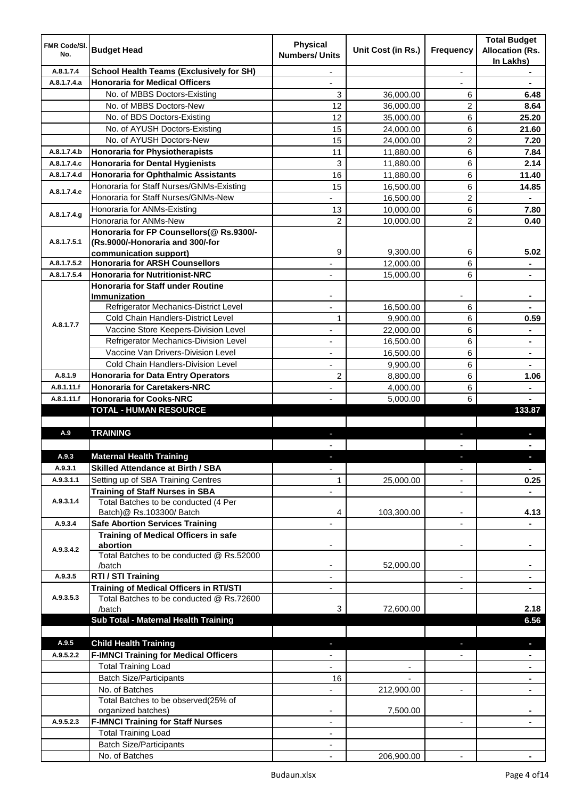| <b>FMR Code/SI.</b><br>No. | <b>Budget Head</b>                                                    | <b>Physical</b><br><b>Numbers/ Units</b> | Unit Cost (in Rs.)       | Frequency                | <b>Total Budget</b><br><b>Allocation (Rs.</b><br>In Lakhs) |
|----------------------------|-----------------------------------------------------------------------|------------------------------------------|--------------------------|--------------------------|------------------------------------------------------------|
| A.8.1.7.4                  | <b>School Health Teams (Exclusively for SH)</b>                       |                                          |                          | $\overline{a}$           |                                                            |
| A.8.1.7.4.a                | <b>Honoraria for Medical Officers</b>                                 |                                          |                          |                          |                                                            |
|                            | No. of MBBS Doctors-Existing                                          | 3                                        | 36,000.00                | 6                        | 6.48                                                       |
|                            | No. of MBBS Doctors-New                                               | 12                                       | 36,000.00                | 2                        | 8.64                                                       |
|                            | No. of BDS Doctors-Existing                                           | 12                                       | 35,000.00                | 6                        | 25.20                                                      |
|                            | No. of AYUSH Doctors-Existing                                         | 15                                       | 24,000.00                | 6                        | 21.60                                                      |
|                            | No. of AYUSH Doctors-New                                              | 15                                       | 24,000.00                | 2                        | 7.20                                                       |
| A.8.1.7.4.b                | <b>Honoraria for Physiotherapists</b>                                 | 11                                       | 11,880.00                | 6                        | 7.84                                                       |
| A.8.1.7.4.c                | <b>Honoraria for Dental Hygienists</b>                                | 3                                        | 11,880.00                | 6                        | 2.14                                                       |
| A.8.1.7.4.d                | <b>Honoraria for Ophthalmic Assistants</b>                            | 16                                       | 11,880.00                | 6                        | 11.40                                                      |
| A.8.1.7.4.e                | Honoraria for Staff Nurses/GNMs-Existing                              | 15                                       | 16,500.00                | 6                        | 14.85                                                      |
|                            | Honoraria for Staff Nurses/GNMs-New                                   |                                          | 16,500.00                | $\overline{2}$           |                                                            |
| A.8.1.7.4.g                | Honoraria for ANMs-Existing                                           | 13                                       | 10,000.00                | 6                        | 7.80                                                       |
|                            | Honoraria for ANMs-New                                                | $\overline{2}$                           | 10,000.00                | $\overline{2}$           | 0.40                                                       |
|                            | Honoraria for FP Counsellors(@ Rs.9300/-                              |                                          |                          |                          |                                                            |
| A.8.1.7.5.1                | (Rs.9000/-Honoraria and 300/-for                                      |                                          |                          |                          |                                                            |
|                            | communication support)                                                | 9                                        | 9,300.00                 | 6                        | 5.02                                                       |
| A.8.1.7.5.2                | <b>Honoraria for ARSH Counsellors</b>                                 |                                          | 12,000.00                | 6                        | $\blacksquare$                                             |
| A.8.1.7.5.4                | <b>Honoraria for Nutritionist-NRC</b>                                 | $\overline{\phantom{0}}$                 | 15,000.00                | 6                        | $\blacksquare$                                             |
|                            | <b>Honoraria for Staff under Routine</b>                              |                                          |                          |                          |                                                            |
|                            | <b>Immunization</b><br>Refrigerator Mechanics-District Level          |                                          |                          |                          |                                                            |
|                            | Cold Chain Handlers-District Level                                    |                                          | 16,500.00                | 6                        |                                                            |
| A.8.1.7.7                  | Vaccine Store Keepers-Division Level                                  | 1                                        | 9,900.00                 | 6                        | 0.59                                                       |
|                            | Refrigerator Mechanics-Division Level                                 | ä,                                       | 22,000.00                | 6                        | $\blacksquare$                                             |
|                            | Vaccine Van Drivers-Division Level                                    | ÷,                                       | 16,500.00                | 6                        | $\blacksquare$                                             |
|                            |                                                                       | ä,                                       | 16,500.00                | 6                        | $\blacksquare$                                             |
|                            | Cold Chain Handlers-Division Level                                    |                                          | 9,900.00                 | 6                        |                                                            |
| A.8.1.9                    | <b>Honoraria for Data Entry Operators</b>                             | $\overline{c}$                           | 8,800.00                 | 6                        | 1.06                                                       |
| A.8.1.11.f<br>A.8.1.11.f   | <b>Honoraria for Caretakers-NRC</b><br><b>Honoraria for Cooks-NRC</b> | ÷,                                       | 4,000.00                 | 6<br>6                   |                                                            |
|                            | <b>TOTAL - HUMAN RESOURCE</b>                                         |                                          | 5,000.00                 |                          | 133.87                                                     |
|                            |                                                                       |                                          |                          |                          |                                                            |
| A.9                        | <b>TRAINING</b>                                                       | ٠                                        |                          | ٠                        | p                                                          |
|                            |                                                                       |                                          |                          |                          |                                                            |
| A.9.3                      | <b>Maternal Health Training</b>                                       |                                          |                          |                          |                                                            |
| A.9.3.1                    | <b>Skilled Attendance at Birth / SBA</b>                              | ÷,                                       |                          | $\overline{\phantom{a}}$ | $\blacksquare$                                             |
| A.9.3.1.1                  | Setting up of SBA Training Centres                                    | 1                                        | 25,000.00                | $\overline{\phantom{0}}$ | 0.25                                                       |
|                            | <b>Training of Staff Nurses in SBA</b>                                | $\overline{\phantom{0}}$                 |                          | $\overline{\phantom{a}}$ |                                                            |
| A.9.3.1.4                  | Total Batches to be conducted (4 Per                                  |                                          |                          |                          |                                                            |
|                            | Batch)@ Rs.103300/ Batch                                              | 4                                        | 103,300.00               | ٠                        | 4.13                                                       |
| A.9.3.4                    | <b>Safe Abortion Services Training</b>                                |                                          |                          |                          |                                                            |
|                            | <b>Training of Medical Officers in safe</b>                           |                                          |                          |                          |                                                            |
| A.9.3.4.2                  | abortion                                                              |                                          |                          | -                        |                                                            |
|                            | Total Batches to be conducted @ Rs.52000                              |                                          |                          |                          |                                                            |
|                            | /batch                                                                | $\overline{\phantom{a}}$                 | 52,000.00                |                          | $\blacksquare$                                             |
| A.9.3.5                    | RTI / STI Training                                                    | $\blacksquare$                           |                          | ٠                        | $\blacksquare$                                             |
|                            | <b>Training of Medical Officers in RTI/STI</b>                        | $\overline{\phantom{a}}$                 |                          | L,                       | $\blacksquare$                                             |
| A.9.3.5.3                  | Total Batches to be conducted @ Rs.72600                              |                                          |                          |                          |                                                            |
|                            | /batch                                                                | 3                                        | 72,600.00                |                          | 2.18                                                       |
|                            | Sub Total - Maternal Health Training                                  |                                          |                          |                          | 6.56                                                       |
|                            |                                                                       |                                          |                          |                          |                                                            |
| A.9.5                      | <b>Child Health Training</b>                                          |                                          |                          |                          | ٠                                                          |
| A.9.5.2.2                  | <b>F-IMNCI Training for Medical Officers</b>                          |                                          |                          |                          |                                                            |
|                            | <b>Total Training Load</b>                                            | $\overline{\phantom{0}}$                 | $\overline{\phantom{a}}$ |                          | $\blacksquare$                                             |
|                            | <b>Batch Size/Participants</b>                                        | 16                                       |                          |                          | ٠                                                          |
|                            | No. of Batches                                                        | $\overline{\phantom{0}}$                 | 212,900.00               | ۰                        | ٠                                                          |
|                            | Total Batches to be observed(25% of                                   |                                          |                          |                          |                                                            |
| A.9.5.2.3                  | organized batches)<br><b>F-IMNCI Training for Staff Nurses</b>        | ٠                                        | 7,500.00                 | $\blacksquare$           |                                                            |
|                            | <b>Total Training Load</b>                                            | ٠                                        |                          |                          |                                                            |
|                            | <b>Batch Size/Participants</b>                                        |                                          |                          |                          |                                                            |
|                            | No. of Batches                                                        |                                          | 206,900.00               |                          |                                                            |
|                            |                                                                       |                                          |                          |                          |                                                            |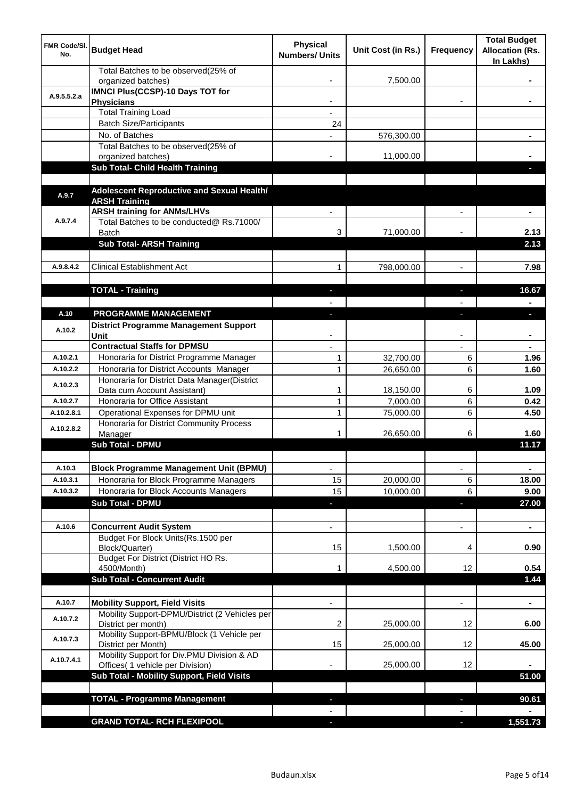| <b>FMR Code/SI.</b><br>No. | <b>Budget Head</b>                                                | <b>Physical</b><br><b>Numbers/ Units</b> | Unit Cost (in Rs.) | Frequency                | <b>Total Budget</b><br><b>Allocation (Rs.</b><br>In Lakhs) |
|----------------------------|-------------------------------------------------------------------|------------------------------------------|--------------------|--------------------------|------------------------------------------------------------|
|                            | Total Batches to be observed(25% of<br>organized batches)         |                                          | 7,500.00           |                          |                                                            |
| A.9.5.5.2.a                | <b>IMNCI Plus(CCSP)-10 Days TOT for</b><br><b>Physicians</b>      |                                          |                    |                          |                                                            |
|                            | <b>Total Training Load</b>                                        |                                          |                    |                          |                                                            |
|                            | <b>Batch Size/Participants</b>                                    | 24                                       |                    |                          |                                                            |
|                            | No. of Batches                                                    |                                          | 576,300.00         |                          |                                                            |
|                            | Total Batches to be observed(25% of                               |                                          |                    |                          |                                                            |
|                            | organized batches)                                                |                                          | 11,000.00          |                          |                                                            |
|                            | Sub Total- Child Health Training                                  |                                          |                    |                          |                                                            |
|                            | Adolescent Reproductive and Sexual Health/                        |                                          |                    |                          |                                                            |
| A.9.7                      | <b>ARSH Training</b>                                              |                                          |                    |                          |                                                            |
|                            | <b>ARSH training for ANMs/LHVs</b>                                |                                          |                    |                          |                                                            |
| A.9.7.4                    | Total Batches to be conducted@ Rs.71000/<br><b>Batch</b>          | 3                                        | 71,000.00          |                          | 2.13                                                       |
|                            | <b>Sub Total- ARSH Training</b>                                   |                                          |                    |                          | 2.13                                                       |
|                            |                                                                   |                                          |                    |                          |                                                            |
| A.9.8.4.2                  | <b>Clinical Establishment Act</b>                                 | 1                                        | 798,000.00         | $\overline{a}$           | 7.98                                                       |
|                            |                                                                   |                                          |                    |                          |                                                            |
|                            | <b>TOTAL - Training</b>                                           |                                          |                    |                          | 16.67                                                      |
|                            |                                                                   |                                          |                    |                          |                                                            |
| A.10                       | PROGRAMME MANAGEMENT                                              |                                          |                    |                          | o.                                                         |
|                            | <b>District Programme Management Support</b>                      |                                          |                    |                          |                                                            |
| A.10.2                     | Unit                                                              |                                          |                    |                          |                                                            |
|                            | <b>Contractual Staffs for DPMSU</b>                               |                                          |                    |                          |                                                            |
| A.10.2.1                   | Honoraria for District Programme Manager                          | 1                                        | 32,700.00          | 6                        | 1.96                                                       |
| A.10.2.2                   | Honoraria for District Accounts Manager                           | $\mathbf{1}$                             | 26,650.00          | 6                        | 1.60                                                       |
|                            | Honoraria for District Data Manager(District                      |                                          |                    |                          |                                                            |
| A.10.2.3                   | Data cum Account Assistant)                                       | 1                                        | 18,150.00          | 6                        | 1.09                                                       |
| A.10.2.7                   | Honoraria for Office Assistant                                    | 1                                        | 7,000.00           | 6                        | 0.42                                                       |
| A.10.2.8.1                 | Operational Expenses for DPMU unit                                | 1                                        | 75,000.00          | 6                        | 4.50                                                       |
|                            | Honoraria for District Community Process                          |                                          |                    |                          |                                                            |
| A.10.2.8.2                 | Manager                                                           | 1                                        | 26,650.00          | 6                        | 1.60                                                       |
|                            | <b>Sub Total - DPMU</b>                                           |                                          |                    |                          | 11.17                                                      |
|                            |                                                                   |                                          |                    |                          |                                                            |
| A.10.3                     | <b>Block Programme Management Unit (BPMU)</b>                     | $\overline{\phantom{a}}$                 |                    | $\overline{\phantom{a}}$ | $\blacksquare$                                             |
| A.10.3.1                   | Honoraria for Block Programme Managers                            | 15                                       | 20,000.00          | 6                        | 18.00                                                      |
| A.10.3.2                   | Honoraria for Block Accounts Managers                             | 15                                       | 10,000.00          | 6                        | 9.00                                                       |
|                            | <b>Sub Total - DPMU</b>                                           | $\overline{\phantom{a}}$                 |                    | ٠                        | 27.00                                                      |
|                            |                                                                   |                                          |                    |                          |                                                            |
| A.10.6                     | <b>Concurrent Audit System</b>                                    | $\overline{a}$                           |                    | $\overline{\phantom{0}}$ | $\blacksquare$                                             |
|                            | Budget For Block Units(Rs. 1500 per                               |                                          |                    |                          |                                                            |
|                            | Block/Quarter)                                                    | 15                                       | 1,500.00           | 4                        | 0.90                                                       |
|                            | Budget For District (District HO Rs.                              |                                          |                    |                          |                                                            |
|                            | 4500/Month)                                                       |                                          | 4,500.00           | 12                       | 0.54                                                       |
|                            | <b>Sub Total - Concurrent Audit</b>                               |                                          |                    |                          | 1.44                                                       |
|                            |                                                                   |                                          |                    |                          |                                                            |
| A.10.7                     | <b>Mobility Support, Field Visits</b>                             |                                          |                    | $\blacksquare$           | $\blacksquare$                                             |
| A.10.7.2                   | Mobility Support-DPMU/District (2 Vehicles per                    |                                          |                    |                          |                                                            |
|                            | District per month)                                               | 2                                        | 25,000.00          | 12                       | 6.00                                                       |
| A.10.7.3                   | Mobility Support-BPMU/Block (1 Vehicle per<br>District per Month) | 15                                       | 25,000.00          | 12                       | 45.00                                                      |
| A.10.7.4.1                 | Mobility Support for Div.PMU Division & AD                        |                                          |                    |                          |                                                            |
|                            | Offices( 1 vehicle per Division)                                  |                                          | 25,000.00          | 12                       |                                                            |
|                            | Sub Total - Mobility Support, Field Visits                        |                                          |                    |                          | 51.00                                                      |
|                            |                                                                   |                                          |                    |                          |                                                            |
|                            | <b>TOTAL - Programme Management</b>                               |                                          |                    | ı.                       | 90.61                                                      |
|                            |                                                                   |                                          |                    |                          |                                                            |
|                            | <b>GRAND TOTAL- RCH FLEXIPOOL</b>                                 | a.                                       |                    | $\overline{\phantom{a}}$ | 1,551.73                                                   |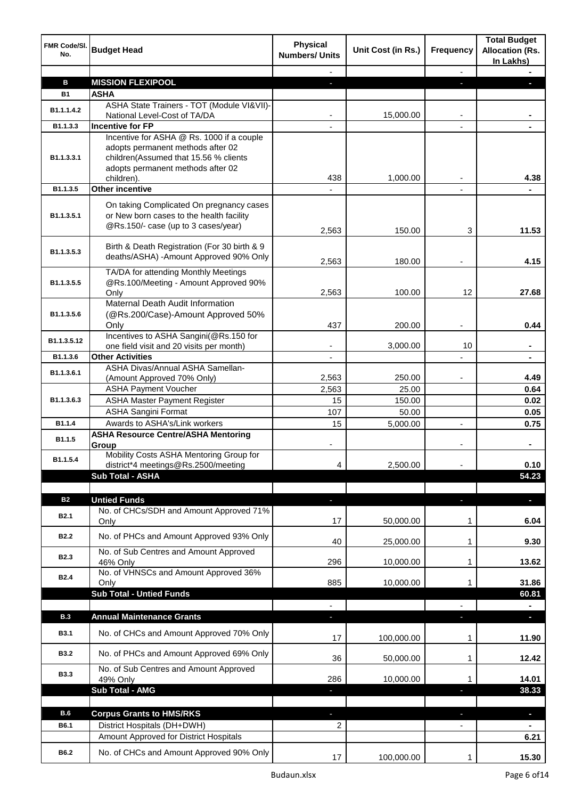| FMR Code/SI.<br>No. | <b>Budget Head</b>                                                                                                                                           | <b>Physical</b><br><b>Numbers/ Units</b> | Unit Cost (in Rs.) | <b>Frequency</b>         | <b>Total Budget</b><br><b>Allocation (Rs.</b><br>In Lakhs) |
|---------------------|--------------------------------------------------------------------------------------------------------------------------------------------------------------|------------------------------------------|--------------------|--------------------------|------------------------------------------------------------|
|                     |                                                                                                                                                              |                                          |                    | $\overline{\phantom{a}}$ |                                                            |
| B                   | <b>MISSION FLEXIPOOL</b>                                                                                                                                     | ٠                                        |                    | E.                       | г                                                          |
| <b>B1</b>           | <b>ASHA</b>                                                                                                                                                  |                                          |                    |                          |                                                            |
| B1.1.1.4.2          | ASHA State Trainers - TOT (Module VI&VII)-<br>National Level-Cost of TA/DA                                                                                   |                                          | 15,000.00          |                          |                                                            |
| B1.1.3.3            | Incentive for FP                                                                                                                                             |                                          |                    |                          |                                                            |
| B1.1.3.3.1          | Incentive for ASHA @ Rs. 1000 if a couple<br>adopts permanent methods after 02<br>children(Assumed that 15.56 % clients<br>adopts permanent methods after 02 |                                          |                    |                          |                                                            |
| B1.1.3.5            | children).<br><b>Other incentive</b>                                                                                                                         | 438                                      | 1,000.00           |                          | 4.38                                                       |
|                     |                                                                                                                                                              |                                          |                    |                          |                                                            |
| B1.1.3.5.1          | On taking Complicated On pregnancy cases<br>or New born cases to the health facility<br>@Rs.150/- case (up to 3 cases/year)                                  | 2,563                                    | 150.00             | 3                        | 11.53                                                      |
| B1.1.3.5.3          | Birth & Death Registration (For 30 birth & 9<br>deaths/ASHA) -Amount Approved 90% Only                                                                       | 2,563                                    | 180.00             |                          | 4.15                                                       |
| B1.1.3.5.5          | TA/DA for attending Monthly Meetings<br>@Rs.100/Meeting - Amount Approved 90%<br>Only                                                                        | 2,563                                    | 100.00             | 12                       | 27.68                                                      |
| B1.1.3.5.6          | Maternal Death Audit Information<br>(@Rs.200/Case)-Amount Approved 50%<br>Only                                                                               | 437                                      | 200.00             |                          | 0.44                                                       |
| B1.1.3.5.12         | Incentives to ASHA Sangini(@Rs.150 for<br>one field visit and 20 visits per month)                                                                           | $\blacksquare$                           | 3,000.00           | 10                       | ۰                                                          |
| B1.1.3.6            | <b>Other Activities</b>                                                                                                                                      | $\overline{a}$                           |                    |                          |                                                            |
|                     | ASHA Divas/Annual ASHA Samellan-                                                                                                                             |                                          |                    |                          |                                                            |
| B1.1.3.6.1          | (Amount Approved 70% Only)                                                                                                                                   | 2,563                                    | 250.00             |                          | 4.49                                                       |
|                     | <b>ASHA Payment Voucher</b>                                                                                                                                  | 2,563                                    | 25.00              |                          | 0.64                                                       |
| B1.1.3.6.3          | <b>ASHA Master Payment Register</b>                                                                                                                          | 15                                       | 150.00             |                          | 0.02                                                       |
|                     | <b>ASHA Sangini Format</b>                                                                                                                                   | 107                                      | 50.00              |                          | 0.05                                                       |
| B <sub>1.1.4</sub>  | Awards to ASHA's/Link workers                                                                                                                                | 15                                       | 5,000.00           |                          | 0.75                                                       |
| B1.1.5              | <b>ASHA Resource Centre/ASHA Mentoring</b><br>Group                                                                                                          |                                          |                    |                          |                                                            |
| B1.1.5.4            | Mobility Costs ASHA Mentoring Group for<br>district*4 meetings@Rs.2500/meeting                                                                               | 4                                        | 2,500.00           |                          | 0.10                                                       |
|                     | Sub Total - ASHA                                                                                                                                             |                                          |                    |                          | 54.23                                                      |
|                     |                                                                                                                                                              |                                          |                    |                          |                                                            |
| <b>B2</b>           | <b>Untied Funds</b>                                                                                                                                          | ٠                                        |                    | r.                       | $\overline{\phantom{a}}$                                   |
| B <sub>2.1</sub>    | No. of CHCs/SDH and Amount Approved 71%<br>Only                                                                                                              | 17                                       | 50,000.00          | 1                        | 6.04                                                       |
| <b>B2.2</b>         | No. of PHCs and Amount Approved 93% Only                                                                                                                     | 40                                       | 25,000.00          | 1                        | 9.30                                                       |
| <b>B2.3</b>         | No. of Sub Centres and Amount Approved<br>46% Only                                                                                                           | 296                                      | 10,000.00          | 1                        | 13.62                                                      |
| <b>B2.4</b>         | No. of VHNSCs and Amount Approved 36%<br>Only                                                                                                                | 885                                      | 10,000.00          | 1                        | 31.86                                                      |
|                     | <b>Sub Total - Untied Funds</b>                                                                                                                              |                                          |                    |                          | 60.81                                                      |
|                     |                                                                                                                                                              |                                          |                    |                          |                                                            |
| <b>B.3</b>          | <b>Annual Maintenance Grants</b>                                                                                                                             | ٠                                        |                    | o,                       | $\mathcal{L}_{\mathcal{A}}$                                |
| <b>B3.1</b>         | No. of CHCs and Amount Approved 70% Only                                                                                                                     | 17                                       | 100,000.00         | 1                        | 11.90                                                      |
| <b>B3.2</b>         | No. of PHCs and Amount Approved 69% Only                                                                                                                     | 36                                       | 50,000.00          | 1                        | 12.42                                                      |
| <b>B3.3</b>         | No. of Sub Centres and Amount Approved<br>49% Only                                                                                                           | 286                                      | 10,000.00          | 1                        | 14.01                                                      |
|                     | <b>Sub Total - AMG</b>                                                                                                                                       | T                                        |                    | ı                        | 38.33                                                      |
|                     |                                                                                                                                                              |                                          |                    |                          |                                                            |
| <b>B.6</b>          | <b>Corpus Grants to HMS/RKS</b>                                                                                                                              |                                          |                    |                          |                                                            |
| <b>B6.1</b>         | District Hospitals (DH+DWH)                                                                                                                                  | J,                                       |                    | ı                        | $\blacksquare$                                             |
|                     | Amount Approved for District Hospitals                                                                                                                       | 2                                        |                    |                          | $\blacksquare$<br>6.21                                     |
|                     |                                                                                                                                                              |                                          |                    |                          |                                                            |
| B6.2                | No. of CHCs and Amount Approved 90% Only                                                                                                                     | 17                                       | 100,000.00         | 1                        | 15.30                                                      |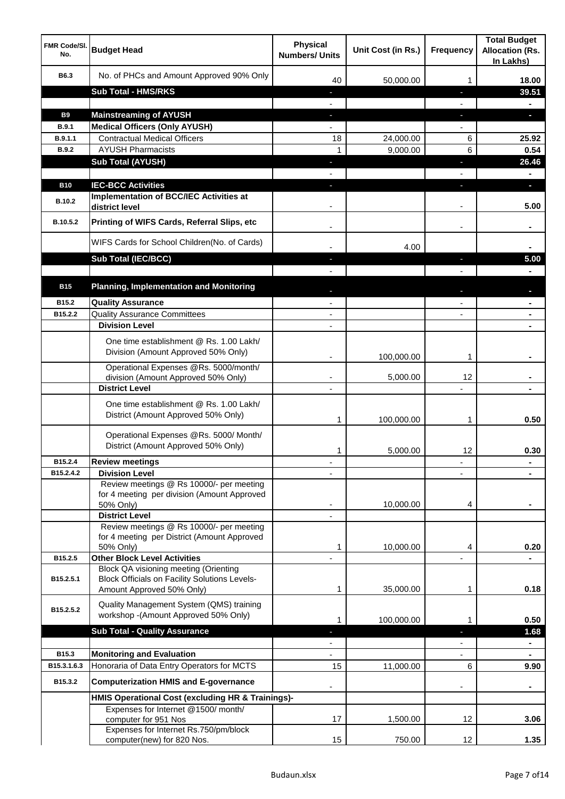| <b>FMR Code/SI.</b><br>No.  | <b>Budget Head</b>                                                                                   | <b>Physical</b><br><b>Numbers/ Units</b> | Unit Cost (in Rs.) | <b>Frequency</b>  | <b>Total Budget</b><br><b>Allocation (Rs.</b><br>In Lakhs) |
|-----------------------------|------------------------------------------------------------------------------------------------------|------------------------------------------|--------------------|-------------------|------------------------------------------------------------|
| B6.3                        | No. of PHCs and Amount Approved 90% Only                                                             | 40                                       | 50,000.00          | 1                 | 18.00                                                      |
|                             | <b>Sub Total - HMS/RKS</b>                                                                           | ٠                                        |                    | J,                | 39.51                                                      |
|                             |                                                                                                      |                                          |                    |                   |                                                            |
| <b>B9</b>                   | <b>Mainstreaming of AYUSH</b>                                                                        | J,                                       |                    | T                 | o.                                                         |
| B.9.1                       | <b>Medical Officers (Only AYUSH)</b>                                                                 |                                          |                    |                   |                                                            |
| B.9.1.1                     | <b>Contractual Medical Officers</b>                                                                  | 18                                       | 24,000.00          | 6                 | 25.92                                                      |
| <b>B.9.2</b>                | <b>AYUSH Pharmacists</b>                                                                             | 1                                        | 9,000.00           | 6                 | 0.54                                                       |
|                             | <b>Sub Total (AYUSH)</b>                                                                             | J,                                       |                    | J,                | 26.46                                                      |
|                             |                                                                                                      |                                          |                    |                   |                                                            |
| <b>B10</b><br><b>B.10.2</b> | <b>IEC-BCC Activities</b><br><b>Implementation of BCC/IEC Activities at</b><br>district level        |                                          |                    | ı.                | н<br>5.00                                                  |
| B.10.5.2                    | Printing of WIFS Cards, Referral Slips, etc                                                          |                                          |                    | $\blacksquare$    |                                                            |
|                             | WIFS Cards for School Children(No. of Cards)                                                         |                                          | 4.00               |                   |                                                            |
|                             | Sub Total (IEC/BCC)                                                                                  |                                          |                    | ı                 | 5.00                                                       |
|                             |                                                                                                      |                                          |                    |                   |                                                            |
| <b>B15</b>                  | <b>Planning, Implementation and Monitoring</b>                                                       |                                          |                    |                   |                                                            |
| B15.2                       | <b>Quality Assurance</b>                                                                             |                                          |                    |                   |                                                            |
| B15.2.2                     | <b>Quality Assurance Committees</b>                                                                  | $\overline{\phantom{a}}$                 |                    |                   |                                                            |
|                             | <b>Division Level</b>                                                                                | $\blacksquare$                           |                    |                   | $\blacksquare$                                             |
|                             | One time establishment @ Rs. 1.00 Lakh/<br>Division (Amount Approved 50% Only)                       |                                          | 100,000.00         | 1                 |                                                            |
|                             | Operational Expenses @Rs. 5000/month/<br>division (Amount Approved 50% Only)                         | $\overline{\phantom{a}}$                 | 5,000.00           | 12                |                                                            |
|                             | <b>District Level</b>                                                                                | $\overline{\phantom{a}}$                 |                    |                   |                                                            |
|                             | One time establishment @ Rs. 1.00 Lakh/<br>District (Amount Approved 50% Only)                       | 1                                        | 100,000.00         | 1                 | 0.50                                                       |
|                             | Operational Expenses @Rs. 5000/ Month/<br>District (Amount Approved 50% Only)                        | 1                                        | 5,000.00           | 12                | 0.30                                                       |
| B15.2.4                     | <b>Review meetings</b>                                                                               | ٠                                        |                    | ٠                 |                                                            |
| B15.2.4.2                   | <b>Division Level</b>                                                                                |                                          |                    |                   |                                                            |
|                             | Review meetings @ Rs 10000/- per meeting<br>for 4 meeting per division (Amount Approved<br>50% Only) |                                          | 10,000.00          | 4                 |                                                            |
|                             | <b>District Level</b><br>Review meetings @ Rs 10000/- per meeting                                    |                                          |                    |                   |                                                            |
|                             | for 4 meeting per District (Amount Approved                                                          |                                          |                    |                   |                                                            |
|                             | 50% Only)                                                                                            | 1                                        | 10,000.00          | 4                 | 0.20                                                       |
| B15.2.5                     | <b>Other Block Level Activities</b>                                                                  |                                          |                    |                   |                                                            |
| B15.2.5.1                   | Block QA visioning meeting (Orienting<br><b>Block Officials on Facility Solutions Levels-</b>        |                                          |                    |                   |                                                            |
|                             | Amount Approved 50% Only)                                                                            | 1                                        | 35,000.00          | 1                 | 0.18                                                       |
| B15.2.5.2                   | Quality Management System (QMS) training<br>workshop -(Amount Approved 50% Only)                     | 1                                        | 100,000.00         | 1                 | 0.50                                                       |
|                             | <b>Sub Total - Quality Assurance</b>                                                                 |                                          |                    |                   | 1.68                                                       |
|                             |                                                                                                      |                                          |                    |                   | $\blacksquare$                                             |
| B15.3                       | <b>Monitoring and Evaluation</b>                                                                     |                                          |                    |                   |                                                            |
| B15.3.1.6.3                 | Honoraria of Data Entry Operators for MCTS                                                           | 15                                       | 11,000.00          | 6                 | 9.90                                                       |
| B15.3.2                     | <b>Computerization HMIS and E-governance</b>                                                         |                                          |                    |                   |                                                            |
|                             | HMIS Operational Cost (excluding HR & Trainings)-                                                    |                                          |                    |                   |                                                            |
|                             | Expenses for Internet @1500/month/<br>computer for 951 Nos                                           | 17                                       | 1,500.00           | 12                | 3.06                                                       |
|                             | Expenses for Internet Rs.750/pm/block<br>computer(new) for 820 Nos.                                  | 15                                       | 750.00             | $12 \overline{ }$ | 1.35                                                       |
|                             |                                                                                                      |                                          |                    |                   |                                                            |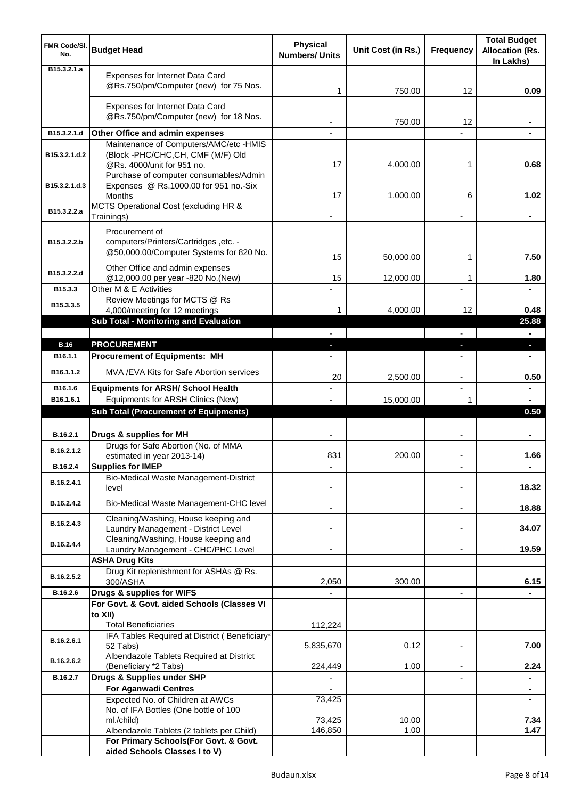| <b>FMR Code/SI.</b><br>No.   | <b>Budget Head</b>                                                                                 | <b>Physical</b><br><b>Numbers/ Units</b> | Unit Cost (in Rs.) | <b>Frequency</b>         | <b>Total Budget</b><br><b>Allocation (Rs.</b><br>In Lakhs) |
|------------------------------|----------------------------------------------------------------------------------------------------|------------------------------------------|--------------------|--------------------------|------------------------------------------------------------|
| B <sub>15</sub> , 3, 2, 1, a | Expenses for Internet Data Card<br>@Rs.750/pm/Computer (new) for 75 Nos.                           | 1                                        | 750.00             | 12                       | 0.09                                                       |
|                              | Expenses for Internet Data Card<br>@Rs.750/pm/Computer (new) for 18 Nos.                           |                                          | 750.00             | 12                       |                                                            |
| B15.3.2.1.d                  | Other Office and admin expenses                                                                    |                                          |                    |                          |                                                            |
|                              | Maintenance of Computers/AMC/etc -HMIS                                                             |                                          |                    |                          |                                                            |
| B15.3.2.1.d.2                | (Block -PHC/CHC,CH, CMF (M/F) Old<br>@Rs. 4000/unit for 951 no.                                    | 17                                       | 4,000.00           | 1                        | 0.68                                                       |
| B15.3.2.1.d.3                | Purchase of computer consumables/Admin<br>Expenses @ Rs.1000.00 for 951 no.-Six<br>Months          | 17                                       | 1,000.00           | 6                        | 1.02                                                       |
| B15.3.2.2.a                  | MCTS Operational Cost (excluding HR &<br>Trainings)                                                |                                          |                    |                          |                                                            |
| B15.3.2.2.b                  | Procurement of<br>computers/Printers/Cartridges ,etc. -<br>@50,000.00/Computer Systems for 820 No. | 15                                       | 50,000.00          | 1                        | 7.50                                                       |
| B15.3.2.2.d                  | Other Office and admin expenses                                                                    |                                          |                    |                          |                                                            |
| B15.3.3                      | @12,000.00 per year -820 No.(New)<br>Other M & E Activities                                        | 15                                       | 12,000.00          | 1                        | 1.80                                                       |
| B15.3.3.5                    | Review Meetings for MCTS @ Rs<br>4,000/meeting for 12 meetings                                     | 1                                        | 4,000.00           | 12                       | 0.48                                                       |
|                              | Sub Total - Monitoring and Evaluation                                                              |                                          |                    |                          | 25.88                                                      |
|                              |                                                                                                    |                                          |                    |                          |                                                            |
| <b>B.16</b>                  | <b>PROCUREMENT</b>                                                                                 |                                          |                    | J,                       | o.                                                         |
| B <sub>16.1.1</sub>          | <b>Procurement of Equipments: MH</b>                                                               |                                          |                    |                          |                                                            |
| B16.1.1.2                    | MVA / EVA Kits for Safe Abortion services                                                          | 20                                       | 2,500.00           | $\overline{\phantom{a}}$ | 0.50                                                       |
| B16.1.6<br>B16.1.6.1         | <b>Equipments for ARSH/ School Health</b>                                                          | $\overline{\phantom{a}}$                 |                    | $\overline{\phantom{a}}$ | ۰                                                          |
|                              | Equipments for ARSH Clinics (New)<br><b>Sub Total (Procurement of Equipments)</b>                  |                                          | 15,000.00          | 1                        | $\blacksquare$<br>0.50                                     |
|                              |                                                                                                    |                                          |                    |                          |                                                            |
| B.16.2.1                     | Drugs & supplies for MH                                                                            | $\blacksquare$                           |                    | $\blacksquare$           | ٠                                                          |
| B.16.2.1.2                   | Drugs for Safe Abortion (No. of MMA<br>estimated in year 2013-14)                                  | 831                                      | 200.00             |                          | 1.66                                                       |
| B.16.2.4                     | <b>Supplies for IMEP</b>                                                                           |                                          |                    |                          | ÷                                                          |
| B.16.2.4.1                   | Bio-Medical Waste Management-District<br>level                                                     |                                          |                    |                          | 18.32                                                      |
| B.16.2.4.2                   | Bio-Medical Waste Management-CHC level                                                             |                                          |                    | $\overline{\phantom{a}}$ | 18.88                                                      |
| B.16.2.4.3                   | Cleaning/Washing, House keeping and<br>Laundry Management - District Level                         |                                          |                    | $\blacksquare$           | 34.07                                                      |
| B.16.2.4.4                   | Cleaning/Washing, House keeping and                                                                |                                          |                    |                          |                                                            |
|                              | Laundry Management - CHC/PHC Level<br><b>ASHA Drug Kits</b>                                        |                                          |                    |                          | 19.59                                                      |
|                              | Drug Kit replenishment for ASHAs @ Rs.                                                             |                                          |                    |                          |                                                            |
| B.16.2.5.2                   | 300/ASHA                                                                                           | 2,050                                    | 300.00             |                          | 6.15                                                       |
| B.16.2.6                     | Drugs & supplies for WIFS                                                                          |                                          |                    | $\overline{\phantom{a}}$ |                                                            |
|                              | For Govt. & Govt. aided Schools (Classes VI<br>to XII)                                             |                                          |                    |                          |                                                            |
|                              | <b>Total Beneficiaries</b>                                                                         | 112,224                                  |                    |                          |                                                            |
| B.16.2.6.1                   | IFA Tables Required at District (Beneficiary*                                                      |                                          |                    |                          |                                                            |
|                              | 52 Tabs)<br>Albendazole Tablets Required at District                                               | 5,835,670                                | 0.12               | $\blacksquare$           | 7.00                                                       |
| B.16.2.6.2                   | (Beneficiary *2 Tabs)                                                                              | 224,449                                  | 1.00               |                          | 2.24                                                       |
| B.16.2.7                     | Drugs & Supplies under SHP                                                                         |                                          |                    |                          | ۰                                                          |
|                              | <b>For Aganwadi Centres</b>                                                                        |                                          |                    |                          | $\blacksquare$                                             |
|                              | Expected No. of Children at AWCs<br>No. of IFA Bottles (One bottle of 100                          | 73,425                                   |                    |                          | $\blacksquare$                                             |
|                              | ml./child)                                                                                         | 73,425                                   | 10.00              |                          | 7.34                                                       |
|                              | Albendazole Tablets (2 tablets per Child)                                                          | 146,850                                  | 1.00               |                          | 1.47                                                       |
|                              | For Primary Schools(For Govt. & Govt.<br>aided Schools Classes I to V)                             |                                          |                    |                          |                                                            |
|                              |                                                                                                    |                                          |                    |                          |                                                            |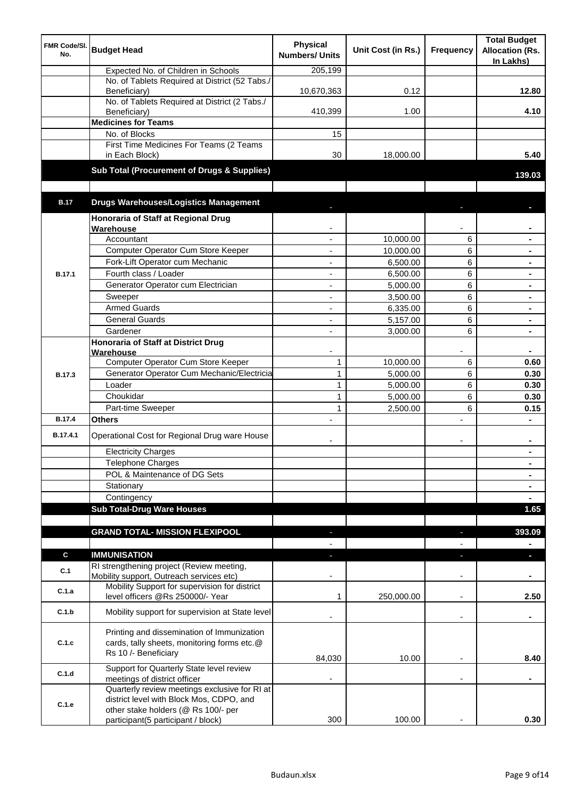| <b>FMR Code/SI.</b><br>No. | <b>Budget Head</b>                                                                                                | <b>Physical</b><br><b>Numbers/ Units</b> | Unit Cost (in Rs.) | Frequency                | <b>Total Budget</b><br><b>Allocation (Rs.</b><br>In Lakhs) |
|----------------------------|-------------------------------------------------------------------------------------------------------------------|------------------------------------------|--------------------|--------------------------|------------------------------------------------------------|
|                            | Expected No. of Children in Schools                                                                               | 205,199                                  |                    |                          |                                                            |
|                            | No. of Tablets Required at District (52 Tabs./<br>Beneficiary)                                                    | 10,670,363                               | 0.12               |                          | 12.80                                                      |
|                            | No. of Tablets Required at District (2 Tabs./<br>Beneficiary)                                                     | 410,399                                  | 1.00               |                          | 4.10                                                       |
|                            | <b>Medicines for Teams</b>                                                                                        |                                          |                    |                          |                                                            |
|                            | No. of Blocks                                                                                                     | 15                                       |                    |                          |                                                            |
|                            | First Time Medicines For Teams (2 Teams<br>in Each Block)                                                         | 30                                       | 18,000.00          |                          | 5.40                                                       |
|                            | Sub Total (Procurement of Drugs & Supplies)                                                                       |                                          |                    |                          | 139.03                                                     |
|                            |                                                                                                                   |                                          |                    |                          |                                                            |
| <b>B.17</b>                | <b>Drugs Warehouses/Logistics Management</b>                                                                      |                                          |                    |                          |                                                            |
|                            | Honoraria of Staff at Regional Drug<br>Warehouse                                                                  |                                          |                    |                          |                                                            |
|                            | Accountant                                                                                                        |                                          | 10,000.00          | 6                        |                                                            |
|                            | Computer Operator Cum Store Keeper                                                                                |                                          | 10,000.00          | 6                        | $\blacksquare$                                             |
|                            | Fork-Lift Operator cum Mechanic                                                                                   | ä,                                       | 6,500.00           | 6                        | $\blacksquare$                                             |
| <b>B.17.1</b>              | Fourth class / Loader                                                                                             | ä,                                       | 6,500.00           | 6                        | $\blacksquare$                                             |
|                            | Generator Operator cum Electrician                                                                                | ÷,                                       | 5,000.00           | 6                        |                                                            |
|                            | Sweeper                                                                                                           | ÷,                                       | 3,500.00           | 6                        |                                                            |
|                            | <b>Armed Guards</b>                                                                                               | ÷,                                       | 6,335.00           | 6                        |                                                            |
|                            | <b>General Guards</b>                                                                                             | $\blacksquare$                           | 5,157.00           | 6                        | $\blacksquare$                                             |
|                            | Gardener                                                                                                          | $\blacksquare$                           | 3,000.00           | 6                        |                                                            |
|                            | <b>Honoraria of Staff at District Drug</b>                                                                        |                                          |                    |                          |                                                            |
|                            | Warehouse                                                                                                         |                                          |                    |                          |                                                            |
|                            | Computer Operator Cum Store Keeper                                                                                | $\mathbf{1}$                             | 10,000.00          | 6                        | 0.60                                                       |
| <b>B.17.3</b>              | Generator Operator Cum Mechanic/Electricia                                                                        | $\mathbf{1}$                             | 5,000.00           | 6                        | 0.30                                                       |
|                            | Loader                                                                                                            | $\mathbf{1}$                             | 5,000.00           | 6                        | 0.30                                                       |
|                            | Choukidar                                                                                                         | $\mathbf{1}$                             | 5,000.00           | 6                        | 0.30                                                       |
|                            | Part-time Sweeper                                                                                                 | 1                                        | 2,500.00           | 6                        | 0.15                                                       |
| <b>B.17.4</b>              | Others                                                                                                            |                                          |                    | $\overline{a}$           |                                                            |
| B.17.4.1                   | Operational Cost for Regional Drug ware House                                                                     |                                          |                    | $\overline{\phantom{a}}$ | $\blacksquare$                                             |
|                            | <b>Electricity Charges</b>                                                                                        |                                          |                    |                          |                                                            |
|                            | Telephone Charges                                                                                                 |                                          |                    |                          | $\blacksquare$                                             |
|                            | POL & Maintenance of DG Sets                                                                                      |                                          |                    |                          | $\blacksquare$                                             |
|                            | Stationary                                                                                                        |                                          |                    |                          | $\blacksquare$                                             |
|                            | Contingency                                                                                                       |                                          |                    |                          | $\blacksquare$                                             |
|                            | <b>Sub Total-Drug Ware Houses</b>                                                                                 |                                          |                    |                          | 1.65                                                       |
|                            | <b>GRAND TOTAL- MISSION FLEXIPOOL</b>                                                                             |                                          |                    |                          | 393.09                                                     |
|                            |                                                                                                                   |                                          |                    |                          |                                                            |
| C                          | <b>IMMUNISATION</b><br>RI strengthening project (Review meeting,                                                  |                                          |                    | ٠                        | п                                                          |
| C.1                        | Mobility support, Outreach services etc)                                                                          |                                          |                    |                          |                                                            |
| C.1.a                      | Mobility Support for supervision for district<br>level officers @Rs 250000/- Year                                 | 1                                        | 250,000.00         | $\overline{\phantom{a}}$ | 2.50                                                       |
| C.1.b                      | Mobility support for supervision at State level                                                                   |                                          |                    | $\overline{\phantom{a}}$ | ٠                                                          |
| C.1.c                      | Printing and dissemination of Immunization<br>cards, tally sheets, monitoring forms etc.@<br>Rs 10 /- Beneficiary | 84,030                                   | 10.00              |                          | 8.40                                                       |
| C.1.d                      | Support for Quarterly State level review                                                                          |                                          |                    |                          |                                                            |
|                            | meetings of district officer<br>Quarterly review meetings exclusive for RI at                                     |                                          |                    |                          |                                                            |
| C.1.e                      | district level with Block Mos, CDPO, and<br>other stake holders (@ Rs 100/- per                                   |                                          |                    |                          |                                                            |
|                            | participant(5 participant / block)                                                                                | 300                                      | 100.00             |                          | 0.30                                                       |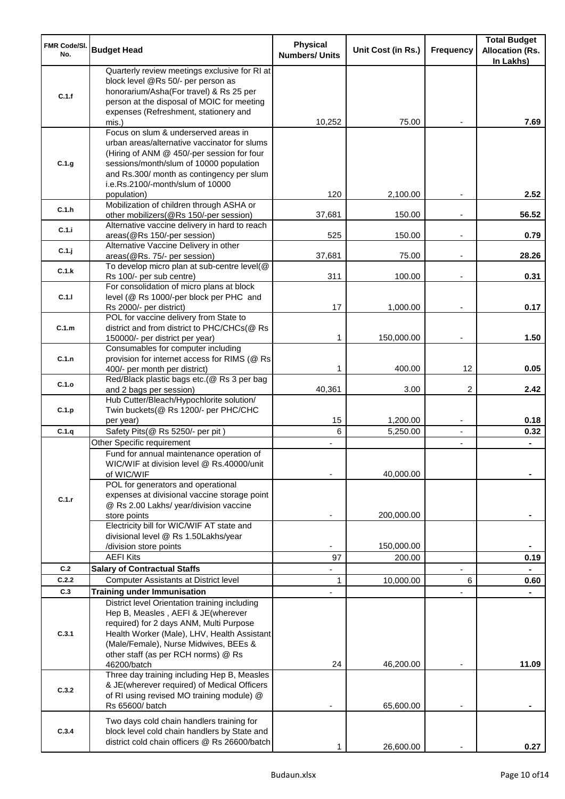| <b>FMR Code/SI.</b><br>No. | <b>Budget Head</b>                                                                                                                                                                                                                                             | <b>Physical</b><br><b>Numbers/ Units</b> | Unit Cost (in Rs.) | Frequency                | <b>Total Budget</b><br><b>Allocation (Rs.</b><br>In Lakhs) |
|----------------------------|----------------------------------------------------------------------------------------------------------------------------------------------------------------------------------------------------------------------------------------------------------------|------------------------------------------|--------------------|--------------------------|------------------------------------------------------------|
| C.1.f                      | Quarterly review meetings exclusive for RI at<br>block level @Rs 50/- per person as<br>honorarium/Asha(For travel) & Rs 25 per<br>person at the disposal of MOIC for meeting<br>expenses (Refreshment, stationery and                                          |                                          |                    |                          |                                                            |
|                            | mis.)                                                                                                                                                                                                                                                          | 10,252                                   | 75.00              |                          | 7.69                                                       |
| C.1.g                      | Focus on slum & underserved areas in<br>urban areas/alternative vaccinator for slums<br>(Hiring of ANM @ 450/-per session for four<br>sessions/month/slum of 10000 population<br>and Rs.300/ month as contingency per slum<br>i.e.Rs.2100/-month/slum of 10000 |                                          |                    |                          |                                                            |
| C.1.h                      | population)<br>Mobilization of children through ASHA or<br>other mobilizers(@Rs 150/-per session)                                                                                                                                                              | 120<br>37,681                            | 2,100.00<br>150.00 |                          | 2.52<br>56.52                                              |
| C.1.i                      | Alternative vaccine delivery in hard to reach<br>areas(@Rs 150/-per session)                                                                                                                                                                                   | 525                                      | 150.00             | $\overline{\phantom{a}}$ | 0.79                                                       |
| C.1.j                      | Alternative Vaccine Delivery in other<br>areas(@Rs. 75/- per session)                                                                                                                                                                                          | 37,681                                   | 75.00              | $\overline{\phantom{a}}$ | 28.26                                                      |
|                            | To develop micro plan at sub-centre level(@                                                                                                                                                                                                                    |                                          |                    |                          |                                                            |
| C.1.k                      | Rs 100/- per sub centre)                                                                                                                                                                                                                                       | 311                                      | 100.00             |                          | 0.31                                                       |
| C.1.1                      | For consolidation of micro plans at block<br>level (@ Rs 1000/-per block per PHC and<br>Rs 2000/- per district)                                                                                                                                                | 17                                       | 1,000.00           |                          | 0.17                                                       |
|                            | POL for vaccine delivery from State to                                                                                                                                                                                                                         |                                          |                    |                          |                                                            |
| C.1.m                      | district and from district to PHC/CHCs(@ Rs<br>150000/- per district per year)                                                                                                                                                                                 | 1                                        | 150,000.00         | $\overline{\phantom{a}}$ | 1.50                                                       |
| C.1.n                      | Consumables for computer including<br>provision for internet access for RIMS (@ Rs                                                                                                                                                                             | 1                                        |                    | 12                       | 0.05                                                       |
| C.1.o                      | 400/- per month per district)<br>Red/Black plastic bags etc.(@ Rs 3 per bag                                                                                                                                                                                    |                                          | 400.00             | 2                        | 2.42                                                       |
| C.1.p                      | and 2 bags per session)<br>Hub Cutter/Bleach/Hypochlorite solution/<br>Twin buckets(@ Rs 1200/- per PHC/CHC                                                                                                                                                    | 40,361                                   | 3.00               |                          |                                                            |
|                            | per year)                                                                                                                                                                                                                                                      | 15                                       | 1,200.00           | $\overline{\phantom{a}}$ | 0.18                                                       |
| C.1.q                      | Safety Pits(@ Rs 5250/- per pit)                                                                                                                                                                                                                               | 6                                        | 5,250.00           | $\blacksquare$           | 0.32                                                       |
|                            | Other Specific requirement<br>Fund for annual maintenance operation of<br>WIC/WIF at division level @ Rs.40000/unit<br>of WIC/WIF                                                                                                                              |                                          | 40,000.00          | $\blacksquare$           |                                                            |
| C.1.r                      | POL for generators and operational<br>expenses at divisional vaccine storage point<br>@ Rs 2.00 Lakhs/ year/division vaccine<br>store points                                                                                                                   |                                          | 200,000.00         |                          |                                                            |
|                            | Electricity bill for WIC/WIF AT state and<br>divisional level @ Rs 1.50Lakhs/year                                                                                                                                                                              |                                          |                    |                          |                                                            |
|                            | /division store points                                                                                                                                                                                                                                         |                                          | 150,000.00         |                          |                                                            |
|                            | <b>AEFI Kits</b>                                                                                                                                                                                                                                               | 97                                       | 200.00             |                          | 0.19                                                       |
| C.2                        | <b>Salary of Contractual Staffs</b>                                                                                                                                                                                                                            |                                          |                    |                          |                                                            |
| C.2.2                      | Computer Assistants at District level                                                                                                                                                                                                                          | 1                                        | 10,000.00          | 6                        | 0.60                                                       |
| C.3                        | <b>Training under Immunisation</b><br>District level Orientation training including                                                                                                                                                                            |                                          |                    |                          |                                                            |
| C.3.1                      | Hep B, Measles, AEFI & JE(wherever<br>required) for 2 days ANM, Multi Purpose<br>Health Worker (Male), LHV, Health Assistant<br>(Male/Female), Nurse Midwives, BEEs &<br>other staff (as per RCH norms) @ Rs<br>46200/batch                                    | 24                                       | 46,200.00          |                          | 11.09                                                      |
| C.3.2                      | Three day training including Hep B, Measles<br>& JE(wherever required) of Medical Officers<br>of RI using revised MO training module) @<br>Rs 65600/ batch                                                                                                     |                                          | 65,600.00          |                          |                                                            |
| C.3.4                      | Two days cold chain handlers training for<br>block level cold chain handlers by State and<br>district cold chain officers @ Rs 26600/batch                                                                                                                     |                                          | 26,600.00          |                          | 0.27                                                       |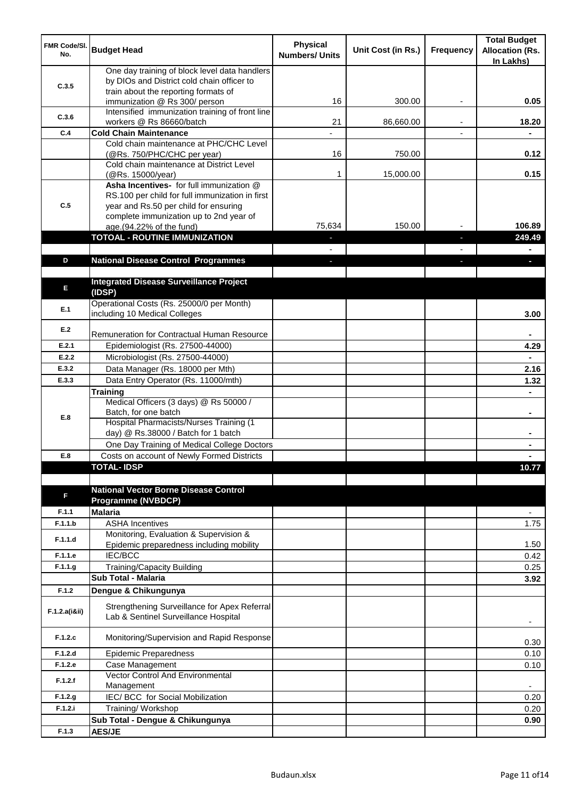| <b>FMR Code/SI.</b><br>No. | <b>Budget Head</b>                                                                                                                                                              | <b>Physical</b><br><b>Numbers/ Units</b> | Unit Cost (in Rs.) | Frequency | <b>Total Budget</b><br><b>Allocation (Rs.</b><br>In Lakhs) |
|----------------------------|---------------------------------------------------------------------------------------------------------------------------------------------------------------------------------|------------------------------------------|--------------------|-----------|------------------------------------------------------------|
| C.3.5                      | One day training of block level data handlers<br>by DIOs and District cold chain officer to                                                                                     |                                          |                    |           |                                                            |
|                            | train about the reporting formats of<br>immunization @ Rs 300/ person                                                                                                           | 16                                       | 300.00             | ٠         | 0.05                                                       |
| C.3.6                      | Intensified immunization training of front line<br>workers @ Rs 86660/batch                                                                                                     | 21                                       | 86,660.00          |           | 18.20                                                      |
| C.4                        | <b>Cold Chain Maintenance</b>                                                                                                                                                   |                                          |                    |           |                                                            |
|                            | Cold chain maintenance at PHC/CHC Level<br>(@Rs. 750/PHC/CHC per year)                                                                                                          | 16                                       | 750.00             |           | 0.12                                                       |
|                            | Cold chain maintenance at District Level<br>(@Rs. 15000/year)                                                                                                                   | 1                                        | 15,000.00          |           | 0.15                                                       |
| C.5                        | Asha Incentives- for full immunization @<br>RS.100 per child for full immunization in first<br>year and Rs.50 per child for ensuring<br>complete immunization up to 2nd year of |                                          |                    |           |                                                            |
|                            | age.(94.22% of the fund)                                                                                                                                                        | 75,634                                   | 150.00             |           | 106.89                                                     |
|                            | <b>TOTOAL - ROUTINE IMMUNIZATION</b>                                                                                                                                            |                                          |                    |           | 249.49                                                     |
|                            |                                                                                                                                                                                 |                                          |                    |           |                                                            |
| D                          | <b>National Disease Control Programmes</b>                                                                                                                                      |                                          |                    |           |                                                            |
|                            |                                                                                                                                                                                 |                                          |                    |           |                                                            |
| E                          | <b>Integrated Disease Surveillance Project</b><br>(IDSP)                                                                                                                        |                                          |                    |           |                                                            |
| E.1                        | Operational Costs (Rs. 25000/0 per Month)<br>including 10 Medical Colleges                                                                                                      |                                          |                    |           | 3.00                                                       |
| E.2                        | Remuneration for Contractual Human Resource                                                                                                                                     |                                          |                    |           |                                                            |
| E.2.1                      | Epidemiologist (Rs. 27500-44000)                                                                                                                                                |                                          |                    |           | 4.29                                                       |
| E.2.2                      | Microbiologist (Rs. 27500-44000)                                                                                                                                                |                                          |                    |           |                                                            |
| E.3.2                      | Data Manager (Rs. 18000 per Mth)                                                                                                                                                |                                          |                    |           | 2.16                                                       |
| E.3.3                      | Data Entry Operator (Rs. 11000/mth)                                                                                                                                             |                                          |                    |           | 1.32                                                       |
|                            | <b>Training</b>                                                                                                                                                                 |                                          |                    |           |                                                            |
| E.8                        | Medical Officers (3 days) @ Rs 50000 /<br>Batch, for one batch                                                                                                                  |                                          |                    |           | $\blacksquare$                                             |
|                            | Hospital Pharmacists/Nurses Training (1<br>day) @ Rs.38000 / Batch for 1 batch                                                                                                  |                                          |                    |           |                                                            |
|                            | One Day Training of Medical College Doctors                                                                                                                                     |                                          |                    |           |                                                            |
| E.8                        | Costs on account of Newly Formed Districts                                                                                                                                      |                                          |                    |           |                                                            |
|                            | <b>TOTAL-IDSP</b>                                                                                                                                                               |                                          |                    |           | 10.77                                                      |
| F                          | <b>National Vector Borne Disease Control</b><br><b>Programme (NVBDCP)</b>                                                                                                       |                                          |                    |           |                                                            |
| F.1.1                      | <b>Malaria</b>                                                                                                                                                                  |                                          |                    |           | $\overline{\phantom{a}}$                                   |
| F.1.1.b                    | <b>ASHA Incentives</b>                                                                                                                                                          |                                          |                    |           | 1.75                                                       |
| F.1.1.d                    | Monitoring, Evaluation & Supervision &<br>Epidemic preparedness including mobility                                                                                              |                                          |                    |           | 1.50                                                       |
| F.1.1.e                    | IEC/BCC                                                                                                                                                                         |                                          |                    |           | 0.42                                                       |
| F.1.1.g                    | Training/Capacity Building                                                                                                                                                      |                                          |                    |           | 0.25                                                       |
|                            | <b>Sub Total - Malaria</b>                                                                                                                                                      |                                          |                    |           | 3.92                                                       |
| F.1.2                      | Dengue & Chikungunya                                                                                                                                                            |                                          |                    |           |                                                            |
| F.1.2.a(iⅈ)                | Strengthening Surveillance for Apex Referral<br>Lab & Sentinel Surveillance Hospital                                                                                            |                                          |                    |           |                                                            |
| F.1.2.c                    | Monitoring/Supervision and Rapid Response                                                                                                                                       |                                          |                    |           | 0.30                                                       |
| F.1.2.d                    | <b>Epidemic Preparedness</b>                                                                                                                                                    |                                          |                    |           | 0.10                                                       |
| F.1.2.e                    | Case Management<br>Vector Control And Environmental                                                                                                                             |                                          |                    |           | 0.10                                                       |
| F.1.2.f                    | Management                                                                                                                                                                      |                                          |                    |           | $\overline{\phantom{a}}$                                   |
| F.1.2.g                    | IEC/ BCC for Social Mobilization                                                                                                                                                |                                          |                    |           | 0.20                                                       |
| F.1.2.i                    | Training/ Workshop                                                                                                                                                              |                                          |                    |           | 0.20                                                       |
|                            | Sub Total - Dengue & Chikungunya                                                                                                                                                |                                          |                    |           | 0.90                                                       |
| F.1.3                      | <b>AES/JE</b>                                                                                                                                                                   |                                          |                    |           |                                                            |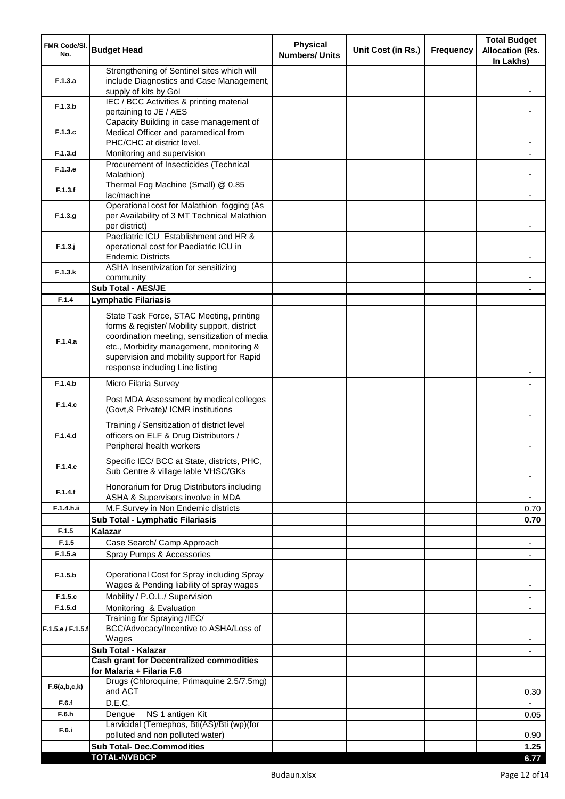| FMR Code/SI.<br>No. | <b>Budget Head</b>                                                                                                                                                                                                                                                    | <b>Physical</b><br><b>Numbers/ Units</b> | Unit Cost (in Rs.) | Frequency | <b>Total Budget</b><br><b>Allocation (Rs.</b><br>In Lakhs) |
|---------------------|-----------------------------------------------------------------------------------------------------------------------------------------------------------------------------------------------------------------------------------------------------------------------|------------------------------------------|--------------------|-----------|------------------------------------------------------------|
| F.1.3.a             | Strengthening of Sentinel sites which will<br>include Diagnostics and Case Management,<br>supply of kits by Gol                                                                                                                                                       |                                          |                    |           |                                                            |
| F.1.3.b             | IEC / BCC Activities & printing material<br>pertaining to JE / AES                                                                                                                                                                                                    |                                          |                    |           |                                                            |
|                     | Capacity Building in case management of                                                                                                                                                                                                                               |                                          |                    |           |                                                            |
| F.1.3.c             | Medical Officer and paramedical from<br>PHC/CHC at district level.                                                                                                                                                                                                    |                                          |                    |           |                                                            |
| F.1.3.d             | Monitoring and supervision<br>Procurement of Insecticides (Technical                                                                                                                                                                                                  |                                          |                    |           |                                                            |
| F.1.3.e             | Malathion)<br>Thermal Fog Machine (Small) @ 0.85                                                                                                                                                                                                                      |                                          |                    |           |                                                            |
| F.1.3.f             | lac/machine                                                                                                                                                                                                                                                           |                                          |                    |           |                                                            |
| F.1.3.g             | Operational cost for Malathion fogging (As<br>per Availability of 3 MT Technical Malathion<br>per district)                                                                                                                                                           |                                          |                    |           |                                                            |
| $F.1.3.$ j          | Paediatric ICU Establishment and HR &<br>operational cost for Paediatric ICU in<br><b>Endemic Districts</b>                                                                                                                                                           |                                          |                    |           |                                                            |
| F.1.3.k             | ASHA Insentivization for sensitizing<br>community                                                                                                                                                                                                                     |                                          |                    |           |                                                            |
|                     | Sub Total - AES/JE                                                                                                                                                                                                                                                    |                                          |                    |           |                                                            |
| F.1.4               | <b>Lymphatic Filariasis</b>                                                                                                                                                                                                                                           |                                          |                    |           |                                                            |
| F.1.4.a             | State Task Force, STAC Meeting, printing<br>forms & register/ Mobility support, district<br>coordination meeting, sensitization of media<br>etc., Morbidity management, monitoring &<br>supervision and mobility support for Rapid<br>response including Line listing |                                          |                    |           |                                                            |
| F.1.4.b             | Micro Filaria Survey                                                                                                                                                                                                                                                  |                                          |                    |           |                                                            |
| F.1.4.c             | Post MDA Assessment by medical colleges<br>(Govt,& Private)/ ICMR institutions                                                                                                                                                                                        |                                          |                    |           |                                                            |
| F.1.4.d             | Training / Sensitization of district level<br>officers on ELF & Drug Distributors /<br>Peripheral health workers                                                                                                                                                      |                                          |                    |           |                                                            |
| F.1.4.e             | Specific IEC/ BCC at State, districts, PHC,<br>Sub Centre & village lable VHSC/GKs                                                                                                                                                                                    |                                          |                    |           |                                                            |
| F.1.4.f             | Honorarium for Drug Distributors including<br>ASHA & Supervisors involve in MDA                                                                                                                                                                                       |                                          |                    |           | $\blacksquare$                                             |
| F.1.4.h.ii          | M.F.Survey in Non Endemic districts                                                                                                                                                                                                                                   |                                          |                    |           | 0.70                                                       |
|                     | Sub Total - Lymphatic Filariasis                                                                                                                                                                                                                                      |                                          |                    |           | 0.70                                                       |
| F.1.5               | Kalazar                                                                                                                                                                                                                                                               |                                          |                    |           |                                                            |
| F.1.5<br>F.1.5.a    | Case Search/ Camp Approach                                                                                                                                                                                                                                            |                                          |                    |           | $\overline{\phantom{a}}$                                   |
| F.1.5.b             | Spray Pumps & Accessories<br>Operational Cost for Spray including Spray                                                                                                                                                                                               |                                          |                    |           | $\blacksquare$                                             |
| F.1.5.c             | Wages & Pending liability of spray wages<br>Mobility / P.O.L./ Supervision                                                                                                                                                                                            |                                          |                    |           |                                                            |
| F.1.5.d             | Monitoring & Evaluation                                                                                                                                                                                                                                               |                                          |                    |           |                                                            |
| F.1.5.e / F.1.5.f   | Training for Spraying /IEC/<br>BCC/Advocacy/Incentive to ASHA/Loss of<br>Wages                                                                                                                                                                                        |                                          |                    |           |                                                            |
|                     | Sub Total - Kalazar                                                                                                                                                                                                                                                   |                                          |                    |           | ۰                                                          |
|                     | <b>Cash grant for Decentralized commodities</b><br>for Malaria + Filaria F.6                                                                                                                                                                                          |                                          |                    |           |                                                            |
| F.6(a,b,c,k)        | Drugs (Chloroquine, Primaquine 2.5/7.5mg)<br>and ACT                                                                                                                                                                                                                  |                                          |                    |           | 0.30                                                       |
| F.6.f               | D.E.C.                                                                                                                                                                                                                                                                |                                          |                    |           |                                                            |
| F.6.h               | NS 1 antigen Kit<br>Dengue<br>Larvicidal (Temephos, Bti(AS)/Bti (wp)(for                                                                                                                                                                                              |                                          |                    |           | 0.05                                                       |
| F.6.i               | polluted and non polluted water)                                                                                                                                                                                                                                      |                                          |                    |           | 0.90                                                       |
|                     | <b>Sub Total- Dec.Commodities</b>                                                                                                                                                                                                                                     |                                          |                    |           | 1.25                                                       |
|                     | <b>TOTAL-NVBDCP</b>                                                                                                                                                                                                                                                   |                                          |                    |           | 6.77                                                       |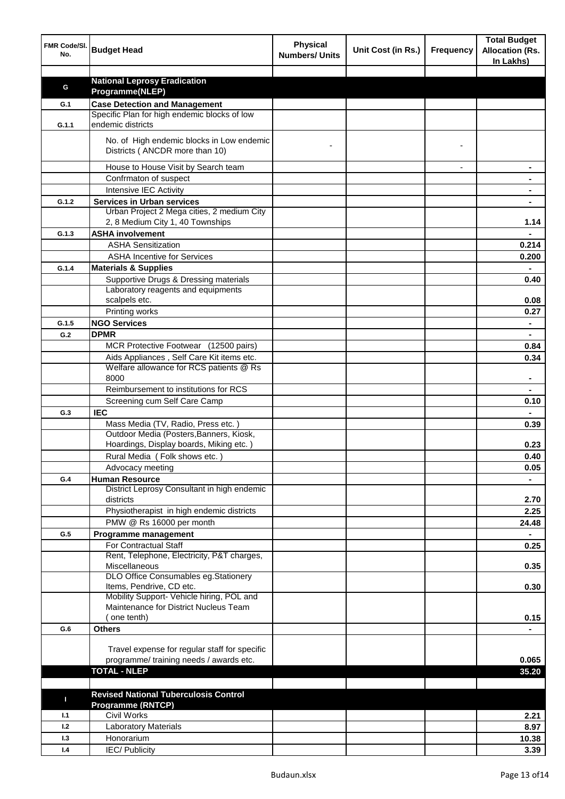| FMR Code/SI.<br>No. | <b>Budget Head</b>                                                                   | <b>Physical</b><br><b>Numbers/ Units</b> | Unit Cost (in Rs.) | <b>Frequency</b> | <b>Total Budget</b><br><b>Allocation (Rs.</b><br>In Lakhs) |
|---------------------|--------------------------------------------------------------------------------------|------------------------------------------|--------------------|------------------|------------------------------------------------------------|
|                     |                                                                                      |                                          |                    |                  |                                                            |
| G                   | <b>National Leprosy Eradication</b>                                                  |                                          |                    |                  |                                                            |
|                     | Programme(NLEP)                                                                      |                                          |                    |                  |                                                            |
| G.1                 | <b>Case Detection and Management</b><br>Specific Plan for high endemic blocks of low |                                          |                    |                  |                                                            |
| G.1.1               | endemic districts                                                                    |                                          |                    |                  |                                                            |
|                     | No. of High endemic blocks in Low endemic<br>Districts (ANCDR more than 10)          |                                          |                    |                  |                                                            |
|                     | House to House Visit by Search team                                                  |                                          |                    |                  |                                                            |
|                     | Confrmaton of suspect                                                                |                                          |                    |                  |                                                            |
|                     | Intensive IEC Activity                                                               |                                          |                    |                  |                                                            |
| G.1.2               | <b>Services in Urban services</b>                                                    |                                          |                    |                  |                                                            |
|                     | Urban Project 2 Mega cities, 2 medium City                                           |                                          |                    |                  |                                                            |
|                     | 2, 8 Medium City 1, 40 Townships                                                     |                                          |                    |                  | 1.14                                                       |
| G.1.3               | <b>ASHA involvement</b>                                                              |                                          |                    |                  |                                                            |
|                     | <b>ASHA Sensitization</b>                                                            |                                          |                    |                  | 0.214                                                      |
|                     | <b>ASHA Incentive for Services</b>                                                   |                                          |                    |                  | 0.200                                                      |
| G.1.4               | <b>Materials &amp; Supplies</b>                                                      |                                          |                    |                  |                                                            |
|                     | Supportive Drugs & Dressing materials                                                |                                          |                    |                  | 0.40                                                       |
|                     | Laboratory reagents and equipments                                                   |                                          |                    |                  |                                                            |
|                     | scalpels etc.                                                                        |                                          |                    |                  | 0.08                                                       |
|                     | Printing works                                                                       |                                          |                    |                  | 0.27                                                       |
| G.1.5               | <b>NGO Services</b>                                                                  |                                          |                    |                  | $\blacksquare$                                             |
| G.2                 | <b>DPMR</b>                                                                          |                                          |                    |                  | $\blacksquare$                                             |
|                     | MCR Protective Footwear (12500 pairs)                                                |                                          |                    |                  | 0.84                                                       |
|                     | Aids Appliances, Self Care Kit items etc.                                            |                                          |                    |                  | 0.34                                                       |
|                     | Welfare allowance for RCS patients @ Rs<br>8000                                      |                                          |                    |                  |                                                            |
|                     | Reimbursement to institutions for RCS                                                |                                          |                    |                  |                                                            |
|                     | Screening cum Self Care Camp                                                         |                                          |                    |                  | 0.10                                                       |
| G.3                 | <b>IEC</b>                                                                           |                                          |                    |                  |                                                            |
|                     | Mass Media (TV, Radio, Press etc.)                                                   |                                          |                    |                  | 0.39                                                       |
|                     | Outdoor Media (Posters, Banners, Kiosk,                                              |                                          |                    |                  |                                                            |
|                     | Hoardings, Display boards, Miking etc.)                                              |                                          |                    |                  | 0.23                                                       |
|                     | Rural Media (Folk shows etc.)                                                        |                                          |                    |                  | 0.40                                                       |
|                     | Advocacy meeting                                                                     |                                          |                    |                  | 0.05                                                       |
| G.4                 | <b>Human Resource</b><br>District Leprosy Consultant in high endemic                 |                                          |                    |                  |                                                            |
|                     | districts                                                                            |                                          |                    |                  | 2.70                                                       |
|                     | Physiotherapist in high endemic districts                                            |                                          |                    |                  | 2.25                                                       |
|                     | PMW @ Rs 16000 per month                                                             |                                          |                    |                  | 24.48                                                      |
| G.5                 | Programme management                                                                 |                                          |                    |                  | $\blacksquare$                                             |
|                     | For Contractual Staff                                                                |                                          |                    |                  | 0.25                                                       |
|                     | Rent, Telephone, Electricity, P&T charges,                                           |                                          |                    |                  |                                                            |
|                     | Miscellaneous                                                                        |                                          |                    |                  | 0.35                                                       |
|                     | DLO Office Consumables eg.Stationery<br>Items, Pendrive, CD etc.                     |                                          |                    |                  | 0.30                                                       |
|                     | Mobility Support- Vehicle hiring, POL and                                            |                                          |                    |                  |                                                            |
|                     | Maintenance for District Nucleus Team                                                |                                          |                    |                  |                                                            |
|                     | one tenth)                                                                           |                                          |                    |                  | 0.15                                                       |
| G.6                 | <b>Others</b>                                                                        |                                          |                    |                  |                                                            |
|                     |                                                                                      |                                          |                    |                  |                                                            |
|                     | Travel expense for regular staff for specific                                        |                                          |                    |                  |                                                            |
|                     | programme/ training needs / awards etc.                                              |                                          |                    |                  | 0.065                                                      |
|                     | <b>TOTAL - NLEP</b>                                                                  |                                          |                    |                  | 35.20                                                      |
|                     |                                                                                      |                                          |                    |                  |                                                            |
| П                   | <b>Revised National Tuberculosis Control</b>                                         |                                          |                    |                  |                                                            |
|                     | <b>Programme (RNTCP)</b>                                                             |                                          |                    |                  |                                                            |
| 1.1                 | <b>Civil Works</b>                                                                   |                                          |                    |                  | 2.21                                                       |
| 1.2                 | <b>Laboratory Materials</b>                                                          |                                          |                    |                  | 8.97                                                       |
| 1.3<br>1.4          | Honorarium                                                                           |                                          |                    |                  | 10.38                                                      |
|                     | <b>IEC/Publicity</b>                                                                 |                                          |                    |                  | 3.39                                                       |